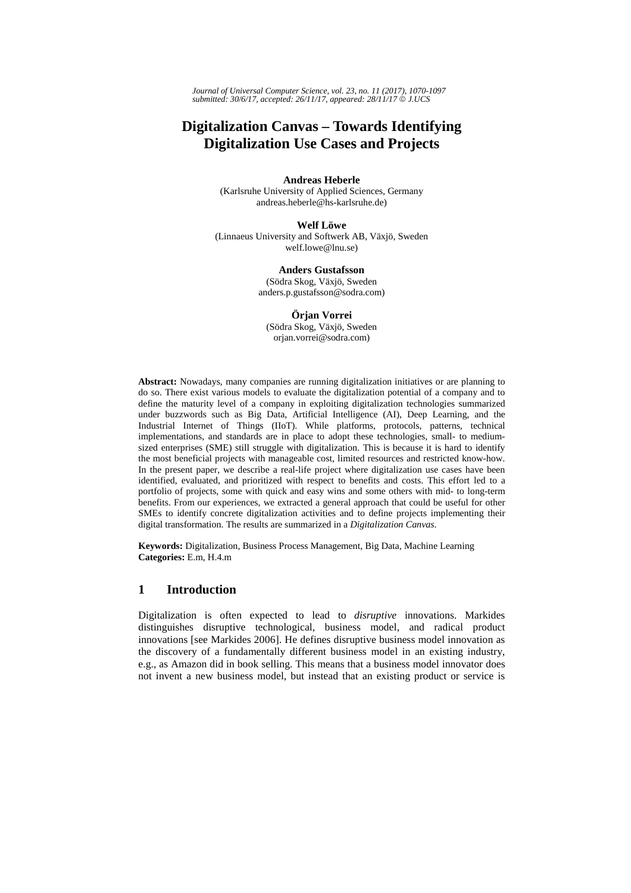*Journal of Universal Computer Science, vol. 23, no. 11 (2017), 1070-1097 submitted: 30/6/17, accepted: 26/11/17, appeared: 28/11/17* © *J.UCS*

# **Digitalization Canvas – Towards Identifying Digitalization Use Cases and Projects**

**Andreas Heberle**  (Karlsruhe University of Applied Sciences, Germany andreas.heberle@hs-karlsruhe.de)

**Welf Löwe**

(Linnaeus University and Softwerk AB, Växjö, Sweden welf.lowe@lnu.se)

> **Anders Gustafsson** (Södra Skog, Växjö, Sweden anders.p.gustafsson@sodra.com)

**Örjan Vorrei** (Södra Skog, Växjö, Sweden orjan.vorrei@sodra.com)

**Abstract:** Nowadays, many companies are running digitalization initiatives or are planning to do so. There exist various models to evaluate the digitalization potential of a company and to define the maturity level of a company in exploiting digitalization technologies summarized under buzzwords such as Big Data, Artificial Intelligence (AI), Deep Learning, and the Industrial Internet of Things (IIoT). While platforms, protocols, patterns, technical implementations, and standards are in place to adopt these technologies, small- to mediumsized enterprises (SME) still struggle with digitalization. This is because it is hard to identify the most beneficial projects with manageable cost, limited resources and restricted know-how. In the present paper, we describe a real-life project where digitalization use cases have been identified, evaluated, and prioritized with respect to benefits and costs. This effort led to a portfolio of projects, some with quick and easy wins and some others with mid- to long-term benefits. From our experiences, we extracted a general approach that could be useful for other SMEs to identify concrete digitalization activities and to define projects implementing their digital transformation. The results are summarized in a *Digitalization Canvas*.

**Keywords:** Digitalization, Business Process Management, Big Data, Machine Learning **Categories:** E.m, H.4.m

## **1 Introduction**

Digitalization is often expected to lead to *disruptive* innovations. Markides distinguishes disruptive technological, business model, and radical product innovations [see Markides 2006]. He defines disruptive business model innovation as the discovery of a fundamentally different business model in an existing industry, e.g., as Amazon did in book selling. This means that a business model innovator does not invent a new business model, but instead that an existing product or service is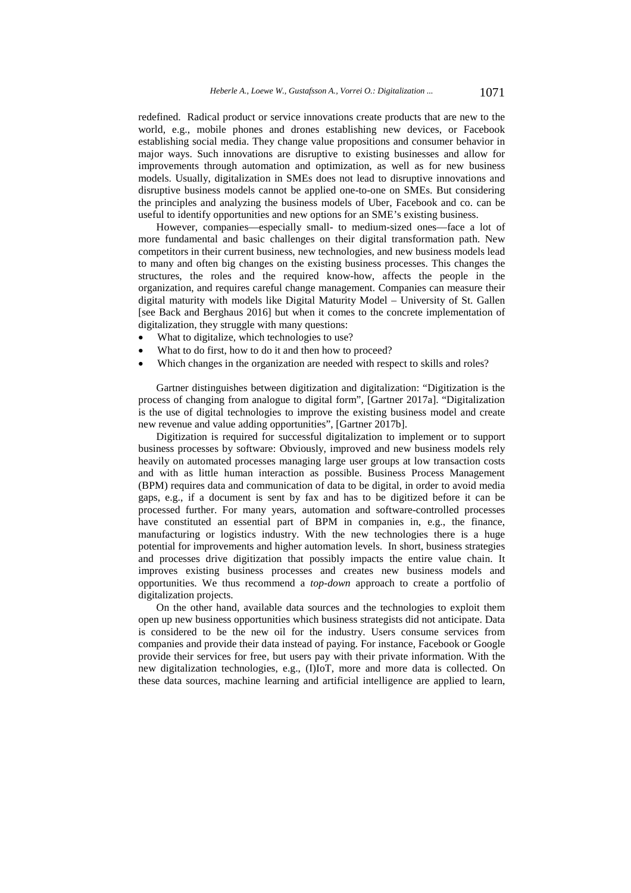redefined. Radical product or service innovations create products that are new to the world, e.g., mobile phones and drones establishing new devices, or Facebook establishing social media. They change value propositions and consumer behavior in major ways. Such innovations are disruptive to existing businesses and allow for improvements through automation and optimization, as well as for new business models. Usually, digitalization in SMEs does not lead to disruptive innovations and disruptive business models cannot be applied one-to-one on SMEs. But considering the principles and analyzing the business models of Uber, Facebook and co. can be useful to identify opportunities and new options for an SME's existing business.

However, companies—especially small- to medium-sized ones—face a lot of more fundamental and basic challenges on their digital transformation path. New competitors in their current business, new technologies, and new business models lead to many and often big changes on the existing business processes. This changes the structures, the roles and the required know-how, affects the people in the organization, and requires careful change management. Companies can measure their digital maturity with models like Digital Maturity Model – University of St. Gallen [see Back and Berghaus 2016] but when it comes to the concrete implementation of digitalization, they struggle with many questions:

- What to digitalize, which technologies to use?
- What to do first, how to do it and then how to proceed?
- Which changes in the organization are needed with respect to skills and roles?

Gartner distinguishes between digitization and digitalization: "Digitization is the process of changing from analogue to digital form", [Gartner 2017a]. "Digitalization is the use of digital technologies to improve the existing business model and create new revenue and value adding opportunities", [Gartner 2017b].

Digitization is required for successful digitalization to implement or to support business processes by software: Obviously, improved and new business models rely heavily on automated processes managing large user groups at low transaction costs and with as little human interaction as possible. Business Process Management (BPM) requires data and communication of data to be digital, in order to avoid media gaps, e.g., if a document is sent by fax and has to be digitized before it can be processed further. For many years, automation and software-controlled processes have constituted an essential part of BPM in companies in, e.g., the finance, manufacturing or logistics industry. With the new technologies there is a huge potential for improvements and higher automation levels. In short, business strategies and processes drive digitization that possibly impacts the entire value chain. It improves existing business processes and creates new business models and opportunities. We thus recommend a *top-down* approach to create a portfolio of digitalization projects.

On the other hand, available data sources and the technologies to exploit them open up new business opportunities which business strategists did not anticipate. Data is considered to be the new oil for the industry. Users consume services from companies and provide their data instead of paying. For instance, Facebook or Google provide their services for free, but users pay with their private information. With the new digitalization technologies, e.g., (I)IoT, more and more data is collected. On these data sources, machine learning and artificial intelligence are applied to learn,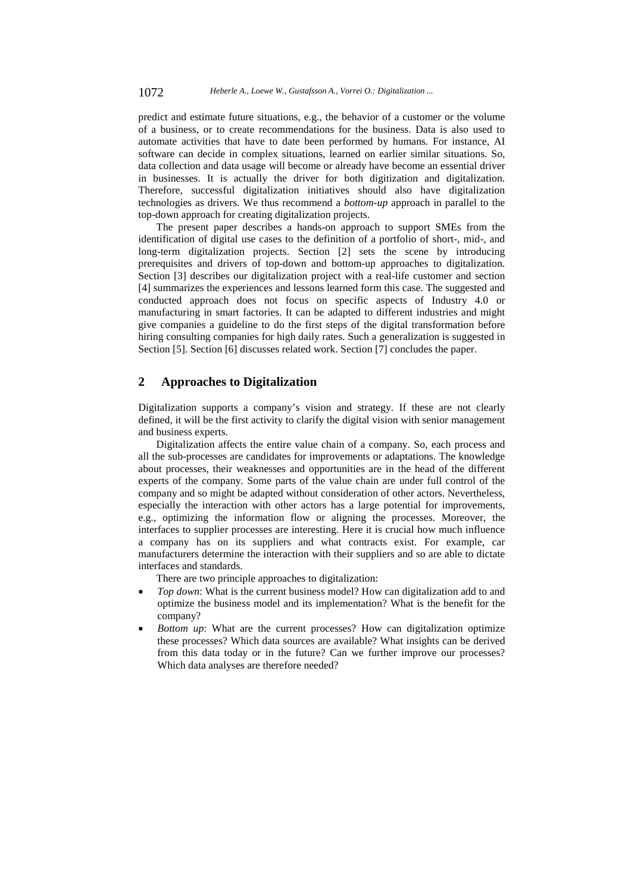predict and estimate future situations, e.g., the behavior of a customer or the volume of a business, or to create recommendations for the business. Data is also used to automate activities that have to date been performed by humans. For instance, AI software can decide in complex situations, learned on earlier similar situations. So, data collection and data usage will become or already have become an essential driver in businesses. It is actually the driver for both digitization and digitalization. Therefore, successful digitalization initiatives should also have digitalization technologies as drivers. We thus recommend a *bottom-up* approach in parallel to the top-down approach for creating digitalization projects.

The present paper describes a hands-on approach to support SMEs from the identification of digital use cases to the definition of a portfolio of short-, mid-, and long-term digitalization projects. Section [2] sets the scene by introducing prerequisites and drivers of top-down and bottom-up approaches to digitalization. Section [3] describes our digitalization project with a real-life customer and section [4] summarizes the experiences and lessons learned form this case. The suggested and conducted approach does not focus on specific aspects of Industry 4.0 or manufacturing in smart factories. It can be adapted to different industries and might give companies a guideline to do the first steps of the digital transformation before hiring consulting companies for high daily rates. Such a generalization is suggested in Section [5]. Section [6] discusses related work. Section [7] concludes the paper.

## **2 Approaches to Digitalization**

Digitalization supports a company's vision and strategy. If these are not clearly defined, it will be the first activity to clarify the digital vision with senior management and business experts.

Digitalization affects the entire value chain of a company. So, each process and all the sub-processes are candidates for improvements or adaptations. The knowledge about processes, their weaknesses and opportunities are in the head of the different experts of the company. Some parts of the value chain are under full control of the company and so might be adapted without consideration of other actors. Nevertheless, especially the interaction with other actors has a large potential for improvements, e.g., optimizing the information flow or aligning the processes. Moreover, the interfaces to supplier processes are interesting. Here it is crucial how much influence a company has on its suppliers and what contracts exist. For example, car manufacturers determine the interaction with their suppliers and so are able to dictate interfaces and standards.

There are two principle approaches to digitalization:

- *Top down*: What is the current business model? How can digitalization add to and optimize the business model and its implementation? What is the benefit for the company?
- *Bottom up*: What are the current processes? How can digitalization optimize these processes? Which data sources are available? What insights can be derived from this data today or in the future? Can we further improve our processes? Which data analyses are therefore needed?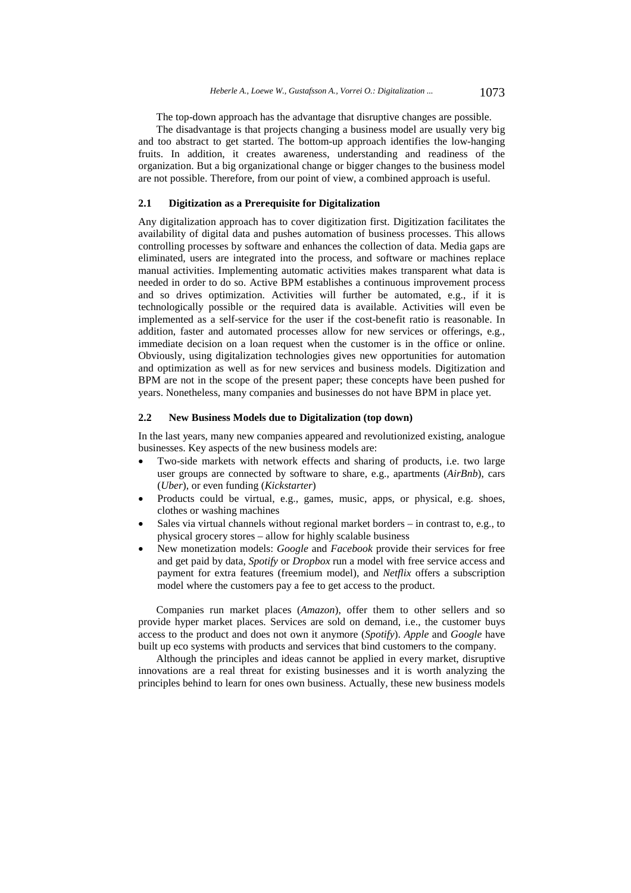The top-down approach has the advantage that disruptive changes are possible.

The disadvantage is that projects changing a business model are usually very big and too abstract to get started. The bottom-up approach identifies the low-hanging fruits. In addition, it creates awareness, understanding and readiness of the organization. But a big organizational change or bigger changes to the business model are not possible. Therefore, from our point of view, a combined approach is useful.

## **2.1 Digitization as a Prerequisite for Digitalization**

Any digitalization approach has to cover digitization first. Digitization facilitates the availability of digital data and pushes automation of business processes. This allows controlling processes by software and enhances the collection of data. Media gaps are eliminated, users are integrated into the process, and software or machines replace manual activities. Implementing automatic activities makes transparent what data is needed in order to do so. Active BPM establishes a continuous improvement process and so drives optimization. Activities will further be automated, e.g., if it is technologically possible or the required data is available. Activities will even be implemented as a self-service for the user if the cost-benefit ratio is reasonable. In addition, faster and automated processes allow for new services or offerings, e.g., immediate decision on a loan request when the customer is in the office or online. Obviously, using digitalization technologies gives new opportunities for automation and optimization as well as for new services and business models. Digitization and BPM are not in the scope of the present paper; these concepts have been pushed for years. Nonetheless, many companies and businesses do not have BPM in place yet.

#### **2.2 New Business Models due to Digitalization (top down)**

In the last years, many new companies appeared and revolutionized existing, analogue businesses. Key aspects of the new business models are:

- Two-side markets with network effects and sharing of products, i.e. two large user groups are connected by software to share, e.g., apartments (*AirBnb*), cars (*Uber*), or even funding (*Kickstarter*)
- Products could be virtual, e.g., games, music, apps, or physical, e.g. shoes, clothes or washing machines
- Sales via virtual channels without regional market borders in contrast to, e.g., to physical grocery stores – allow for highly scalable business
- New monetization models: *Google* and *Facebook* provide their services for free and get paid by data, *Spotify* or *Dropbox* run a model with free service access and payment for extra features (freemium model), and *Netflix* offers a subscription model where the customers pay a fee to get access to the product.

Companies run market places (*Amazon*), offer them to other sellers and so provide hyper market places. Services are sold on demand, i.e., the customer buys access to the product and does not own it anymore (*Spotify*). *Apple* and *Google* have built up eco systems with products and services that bind customers to the company.

Although the principles and ideas cannot be applied in every market, disruptive innovations are a real threat for existing businesses and it is worth analyzing the principles behind to learn for ones own business. Actually, these new business models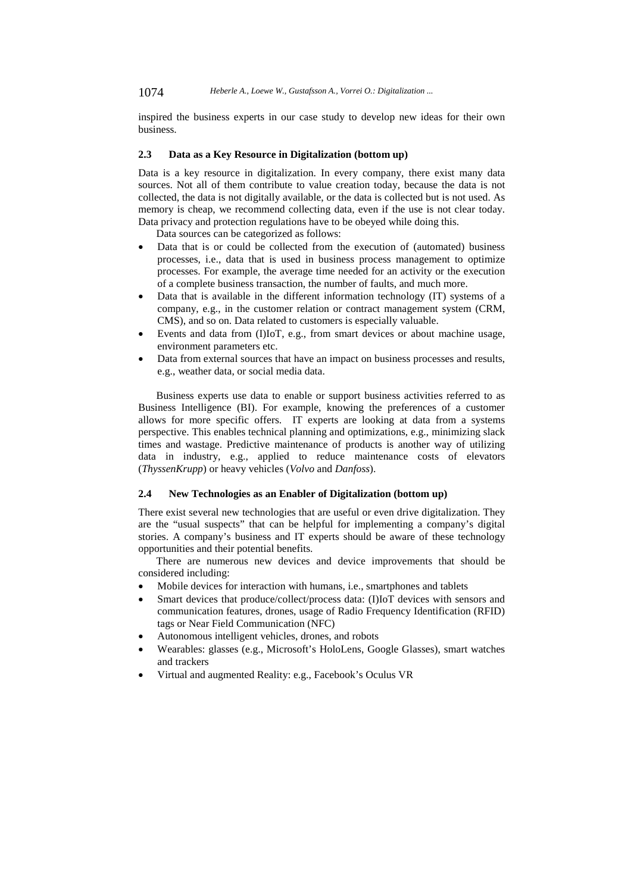inspired the business experts in our case study to develop new ideas for their own business.

#### **2.3 Data as a Key Resource in Digitalization (bottom up)**

Data is a key resource in digitalization. In every company, there exist many data sources. Not all of them contribute to value creation today, because the data is not collected, the data is not digitally available, or the data is collected but is not used. As memory is cheap, we recommend collecting data, even if the use is not clear today. Data privacy and protection regulations have to be obeyed while doing this.

Data sources can be categorized as follows:

- Data that is or could be collected from the execution of (automated) business processes, i.e., data that is used in business process management to optimize processes. For example, the average time needed for an activity or the execution of a complete business transaction, the number of faults, and much more.
- Data that is available in the different information technology (IT) systems of a company, e.g., in the customer relation or contract management system (CRM, CMS), and so on. Data related to customers is especially valuable.
- Events and data from (I)IoT, e.g., from smart devices or about machine usage, environment parameters etc.
- Data from external sources that have an impact on business processes and results, e.g., weather data, or social media data.

Business experts use data to enable or support business activities referred to as Business Intelligence (BI). For example, knowing the preferences of a customer allows for more specific offers. IT experts are looking at data from a systems perspective. This enables technical planning and optimizations, e.g., minimizing slack times and wastage. Predictive maintenance of products is another way of utilizing data in industry, e.g., applied to reduce maintenance costs of elevators (*ThyssenKrupp*) or heavy vehicles (*Volvo* and *Danfoss*).

### **2.4 New Technologies as an Enabler of Digitalization (bottom up)**

There exist several new technologies that are useful or even drive digitalization. They are the "usual suspects" that can be helpful for implementing a company's digital stories. A company's business and IT experts should be aware of these technology opportunities and their potential benefits.

There are numerous new devices and device improvements that should be considered including:

- Mobile devices for interaction with humans, i.e., smartphones and tablets
- Smart devices that produce/collect/process data: (I)IoT devices with sensors and communication features, drones, usage of Radio Frequency Identification (RFID) tags or Near Field Communication (NFC)
- Autonomous intelligent vehicles, drones, and robots
- Wearables: glasses (e.g., Microsoft's HoloLens, Google Glasses), smart watches and trackers
- Virtual and augmented Reality: e.g., Facebook's Oculus VR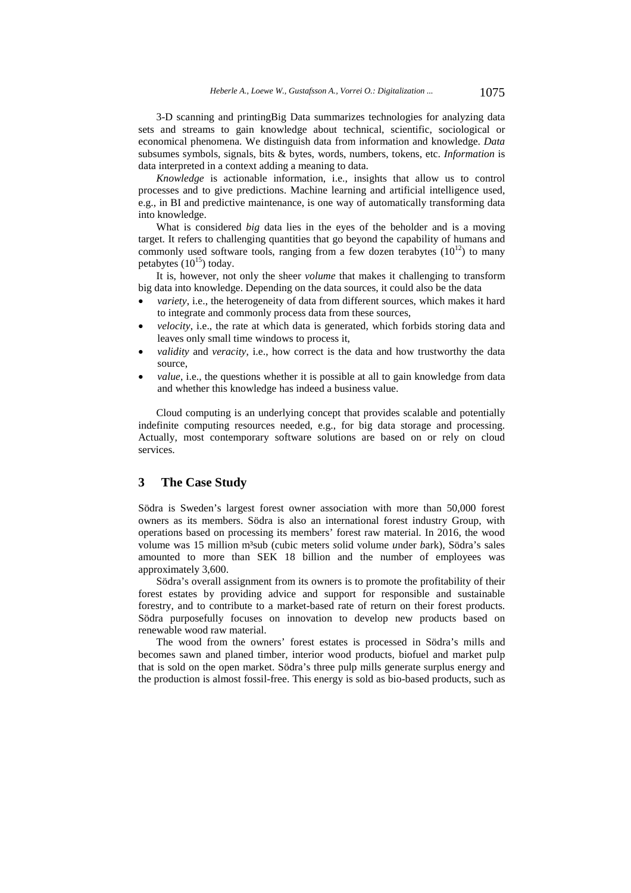3-D scanning and printingBig Data summarizes technologies for analyzing data sets and streams to gain knowledge about technical, scientific, sociological or economical phenomena. We distinguish data from information and knowledge. *Data* subsumes symbols, signals, bits & bytes, words, numbers, tokens, etc. *Information* is data interpreted in a context adding a meaning to data.

*Knowledge* is actionable information, i.e., insights that allow us to control processes and to give predictions. Machine learning and artificial intelligence used, e.g., in BI and predictive maintenance, is one way of automatically transforming data into knowledge.

What is considered *big* data lies in the eyes of the beholder and is a moving target. It refers to challenging quantities that go beyond the capability of humans and commonly used software tools, ranging from a few dozen terabytes  $(10^{12})$  to many petabytes  $(10^{15})$  today.

It is, however, not only the sheer *volume* that makes it challenging to transform big data into knowledge. Depending on the data sources, it could also be the data

- *variety*, i.e., the heterogeneity of data from different sources, which makes it hard to integrate and commonly process data from these sources,
- *velocity*, i.e., the rate at which data is generated, which forbids storing data and leaves only small time windows to process it,
- *validity* and *veracity*, i.e., how correct is the data and how trustworthy the data source,
- *value*, i.e., the questions whether it is possible at all to gain knowledge from data and whether this knowledge has indeed a business value.

Cloud computing is an underlying concept that provides scalable and potentially indefinite computing resources needed, e.g., for big data storage and processing. Actually, most contemporary software solutions are based on or rely on cloud services.

## **3 The Case Study**

Södra is Sweden's largest forest owner association with more than 50,000 forest owners as its members. Södra is also an international forest industry Group, with operations based on processing its members' forest raw material. In 2016, the wood volume was 15 million m³sub (cubic meters *s*olid volume *u*nder *b*ark), Södra's sales amounted to more than SEK 18 billion and the number of employees was approximately 3,600.

Södra's overall assignment from its owners is to promote the profitability of their forest estates by providing advice and support for responsible and sustainable forestry, and to contribute to a market-based rate of return on their forest products. Södra purposefully focuses on innovation to develop new products based on renewable wood raw material.

The wood from the owners' forest estates is processed in Södra's mills and becomes sawn and planed timber, interior wood products, biofuel and market pulp that is sold on the open market. Södra's three pulp mills generate surplus energy and the production is almost fossil-free. This energy is sold as bio-based products, such as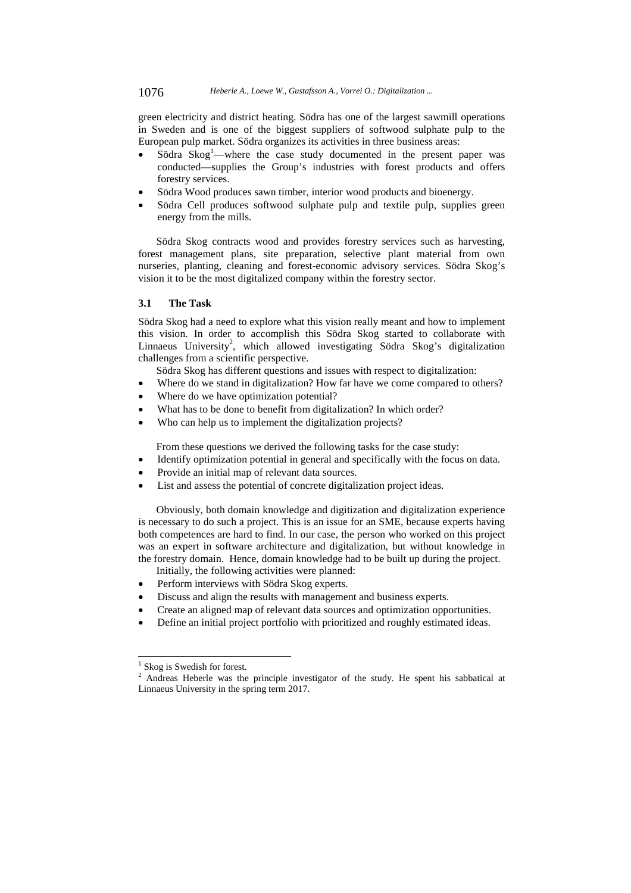green electricity and district heating. Södra has one of the largest sawmill operations in Sweden and is one of the biggest suppliers of softwood sulphate pulp to the European pulp market. Södra organizes its activities in three business areas:

- $\bullet$  Södra Skog<sup>1</sup>—where the case study documented in the present paper was conducted—supplies the Group's industries with forest products and offers forestry services.
- Södra Wood produces sawn timber, interior wood products and bioenergy.
- Södra Cell produces softwood sulphate pulp and textile pulp, supplies green energy from the mills.

Södra Skog contracts wood and provides forestry services such as harvesting, forest management plans, site preparation, selective plant material from own nurseries, planting, cleaning and forest-economic advisory services. Södra Skog's vision it to be the most digitalized company within the forestry sector.

#### **3.1 The Task**

Södra Skog had a need to explore what this vision really meant and how to implement this vision. In order to accomplish this Södra Skog started to collaborate with Linnaeus University<sup>2</sup>, which allowed investigating Södra Skog's digitalization challenges from a scientific perspective.

- Södra Skog has different questions and issues with respect to digitalization:
- Where do we stand in digitalization? How far have we come compared to others?
- Where do we have optimization potential?
- What has to be done to benefit from digitalization? In which order?
- Who can help us to implement the digitalization projects?

From these questions we derived the following tasks for the case study:

- Identify optimization potential in general and specifically with the focus on data.
- Provide an initial map of relevant data sources.
- List and assess the potential of concrete digitalization project ideas.

Obviously, both domain knowledge and digitization and digitalization experience is necessary to do such a project. This is an issue for an SME, because experts having both competences are hard to find. In our case, the person who worked on this project was an expert in software architecture and digitalization, but without knowledge in the forestry domain. Hence, domain knowledge had to be built up during the project. Initially, the following activities were planned:

- Perform interviews with Södra Skog experts.
- Discuss and align the results with management and business experts.
- Create an aligned map of relevant data sources and optimization opportunities.
- Define an initial project portfolio with prioritized and roughly estimated ideas.

l

<sup>&</sup>lt;sup>1</sup> Skog is Swedish for forest.

<sup>&</sup>lt;sup>2</sup> Andreas Heberle was the principle investigator of the study. He spent his sabbatical at Linnaeus University in the spring term 2017.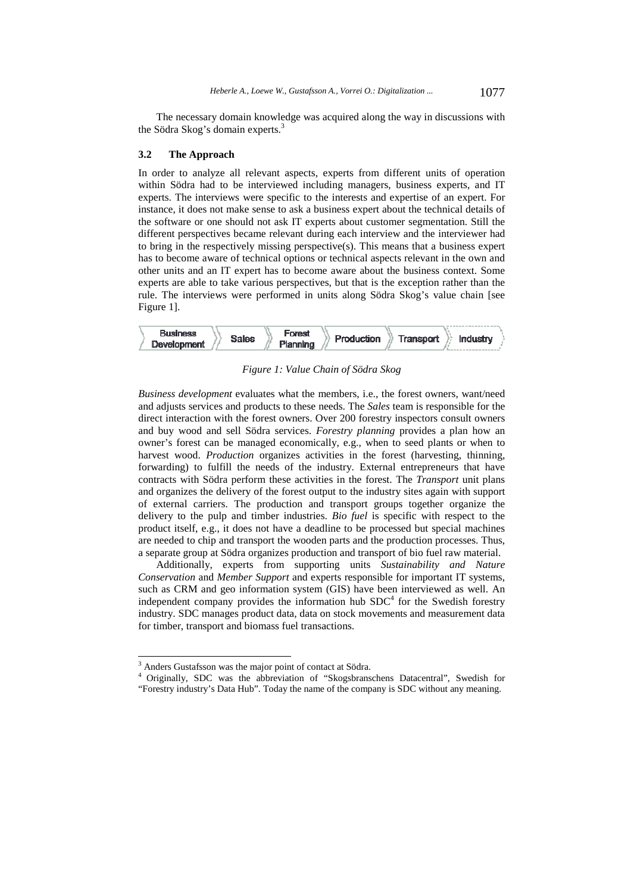The necessary domain knowledge was acquired along the way in discussions with the Södra Skog's domain experts.<sup>3</sup>

#### **3.2 The Approach**

In order to analyze all relevant aspects, experts from different units of operation within Södra had to be interviewed including managers, business experts, and IT experts. The interviews were specific to the interests and expertise of an expert. For instance, it does not make sense to ask a business expert about the technical details of the software or one should not ask IT experts about customer segmentation. Still the different perspectives became relevant during each interview and the interviewer had to bring in the respectively missing perspective(s). This means that a business expert has to become aware of technical options or technical aspects relevant in the own and other units and an IT expert has to become aware about the business context. Some experts are able to take various perspectives, but that is the exception rather than the rule. The interviews were performed in units along Södra Skog's value chain [see Figure 1].



*Figure 1: Value Chain of Södra Skog* 

*Business development* evaluates what the members, i.e., the forest owners, want/need and adjusts services and products to these needs. The *Sales* team is responsible for the direct interaction with the forest owners. Over 200 forestry inspectors consult owners and buy wood and sell Södra services. *Forestry planning* provides a plan how an owner's forest can be managed economically, e.g., when to seed plants or when to harvest wood. *Production* organizes activities in the forest (harvesting, thinning, forwarding) to fulfill the needs of the industry. External entrepreneurs that have contracts with Södra perform these activities in the forest. The *Transport* unit plans and organizes the delivery of the forest output to the industry sites again with support of external carriers. The production and transport groups together organize the delivery to the pulp and timber industries. *Bio fuel* is specific with respect to the product itself, e.g., it does not have a deadline to be processed but special machines are needed to chip and transport the wooden parts and the production processes. Thus, a separate group at Södra organizes production and transport of bio fuel raw material.

Additionally, experts from supporting units *Sustainability and Nature Conservation* and *Member Support* and experts responsible for important IT systems, such as CRM and geo information system (GIS) have been interviewed as well. An independent company provides the information hub  $SDC<sup>4</sup>$  for the Swedish forestry industry. SDC manages product data, data on stock movements and measurement data for timber, transport and biomass fuel transactions.

l

<sup>&</sup>lt;sup>3</sup> Anders Gustafsson was the major point of contact at Södra.

<sup>4</sup> Originally, SDC was the abbreviation of "Skogsbranschens Datacentral", Swedish for "Forestry industry's Data Hub". Today the name of the company is SDC without any meaning.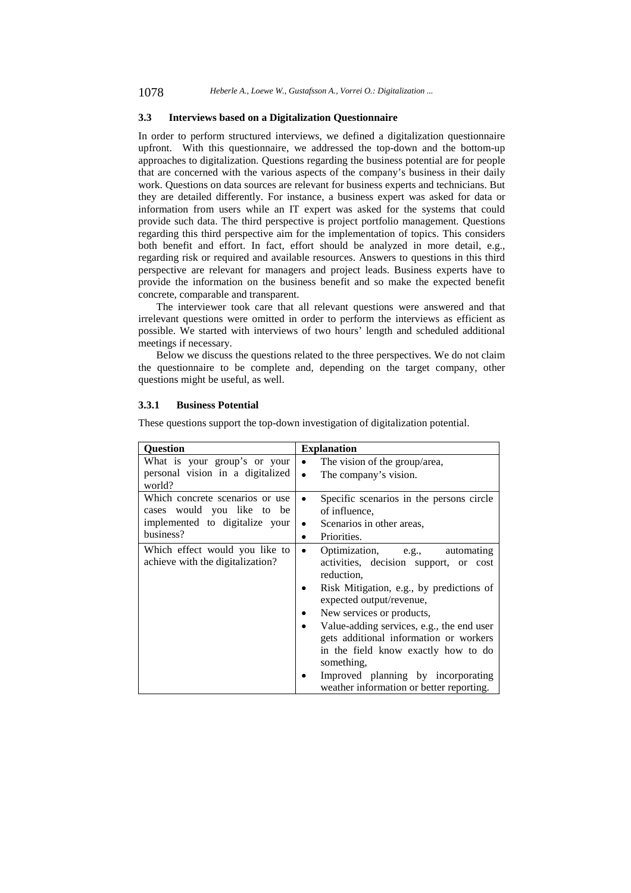### **3.3 Interviews based on a Digitalization Questionnaire**

In order to perform structured interviews, we defined a digitalization questionnaire upfront. With this questionnaire, we addressed the top-down and the bottom-up approaches to digitalization. Questions regarding the business potential are for people that are concerned with the various aspects of the company's business in their daily work. Questions on data sources are relevant for business experts and technicians. But they are detailed differently. For instance, a business expert was asked for data or information from users while an IT expert was asked for the systems that could provide such data. The third perspective is project portfolio management. Questions regarding this third perspective aim for the implementation of topics. This considers both benefit and effort. In fact, effort should be analyzed in more detail, e.g., regarding risk or required and available resources. Answers to questions in this third perspective are relevant for managers and project leads. Business experts have to provide the information on the business benefit and so make the expected benefit concrete, comparable and transparent.

The interviewer took care that all relevant questions were answered and that irrelevant questions were omitted in order to perform the interviews as efficient as possible. We started with interviews of two hours' length and scheduled additional meetings if necessary.

Below we discuss the questions related to the three perspectives. We do not claim the questionnaire to be complete and, depending on the target company, other questions might be useful, as well.

#### **3.3.1 Business Potential**

These questions support the top-down investigation of digitalization potential.

| <b>Question</b>                                                                                              | <b>Explanation</b>                                                                                                                                                                                                                                                                                                                                                                                                               |
|--------------------------------------------------------------------------------------------------------------|----------------------------------------------------------------------------------------------------------------------------------------------------------------------------------------------------------------------------------------------------------------------------------------------------------------------------------------------------------------------------------------------------------------------------------|
| What is your group's or your<br>personal vision in a digitalized<br>world?                                   | The vision of the group/area,<br>$\bullet$<br>The company's vision.<br>$\bullet$                                                                                                                                                                                                                                                                                                                                                 |
| Which concrete scenarios or use<br>cases would you like to be<br>implemented to digitalize your<br>business? | Specific scenarios in the persons circle<br>of influence.<br>Scenarios in other areas,<br>٠<br>Priorities.<br>٠                                                                                                                                                                                                                                                                                                                  |
| Which effect would you like to<br>achieve with the digitalization?                                           | Optimization, e.g.,<br>automating<br>٠<br>activities, decision support, or cost<br>reduction.<br>Risk Mitigation, e.g., by predictions of<br>expected output/revenue,<br>New services or products,<br>Value-adding services, e.g., the end user<br>gets additional information or workers<br>in the field know exactly how to do<br>something,<br>Improved planning by incorporating<br>weather information or better reporting. |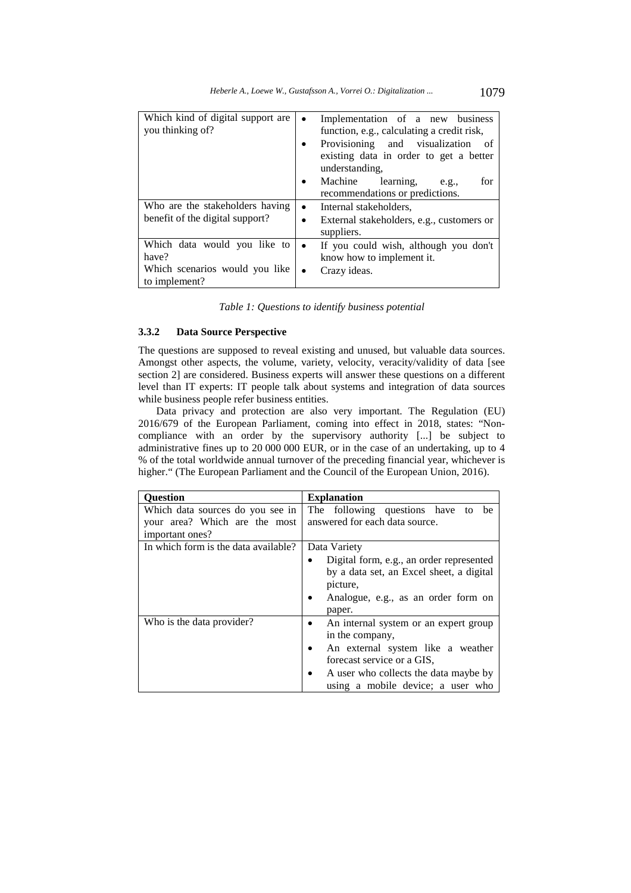| Which kind of digital support are<br>you thinking of?                                    | $\bullet$ | Implementation of a new business<br>function, e.g., calculating a credit risk,<br>Provisioning and visualization<br>- of<br>existing data in order to get a better<br>understanding.<br>Machine<br>learning,<br>for<br>e.g.,<br>recommendations or predictions. |
|------------------------------------------------------------------------------------------|-----------|-----------------------------------------------------------------------------------------------------------------------------------------------------------------------------------------------------------------------------------------------------------------|
| Who are the stakeholders having<br>benefit of the digital support?                       |           | Internal stakeholders,<br>External stakeholders, e.g., customers or<br>suppliers.                                                                                                                                                                               |
| Which data would you like to<br>have?<br>Which scenarios would you like<br>to implement? | ٠         | If you could wish, although you don't<br>know how to implement it.<br>Crazy ideas.                                                                                                                                                                              |

| Table 1: Questions to identify business potential |  |
|---------------------------------------------------|--|
|---------------------------------------------------|--|

## **3.3.2 Data Source Perspective**

The questions are supposed to reveal existing and unused, but valuable data sources. Amongst other aspects, the volume, variety, velocity, veracity/validity of data [see section 2] are considered. Business experts will answer these questions on a different level than IT experts: IT people talk about systems and integration of data sources while business people refer business entities.

Data privacy and protection are also very important. The Regulation (EU) 2016/679 of the European Parliament, coming into effect in 2018, states: "Noncompliance with an order by the supervisory authority [...] be subject to administrative fines up to 20 000 000 EUR, or in the case of an undertaking, up to 4 % of the total worldwide annual turnover of the preceding financial year, whichever is higher." (The European Parliament and the Council of the European Union, 2016).

| <b>Question</b>                      | <b>Explanation</b>                                 |
|--------------------------------------|----------------------------------------------------|
| Which data sources do you see in     | The following questions have to<br>be              |
| your area? Which are the most        | answered for each data source.                     |
| important ones?                      |                                                    |
| In which form is the data available? | Data Variety                                       |
|                                      | Digital form, e.g., an order represented<br>٠      |
|                                      | by a data set, an Excel sheet, a digital           |
|                                      | picture,                                           |
|                                      | Analogue, e.g., as an order form on<br>٠           |
|                                      | paper.                                             |
| Who is the data provider?            | An internal system or an expert group<br>٠         |
|                                      | in the company,                                    |
|                                      | An external system like a weather<br>$\bullet$     |
|                                      | forecast service or a GIS,                         |
|                                      | A user who collects the data maybe by<br>$\bullet$ |
|                                      | using a mobile device; a user who                  |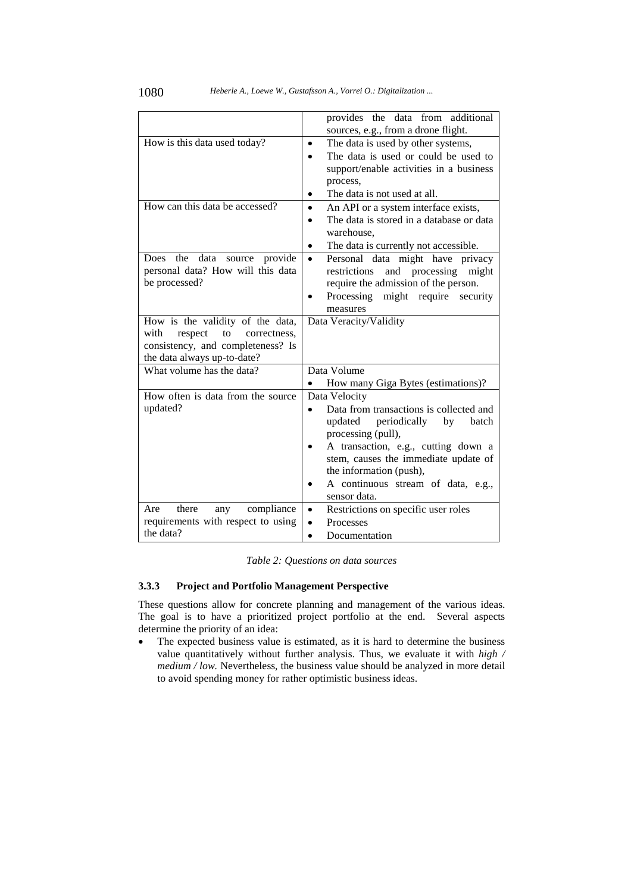|                                       | provides the data from additional                     |
|---------------------------------------|-------------------------------------------------------|
|                                       | sources, e.g., from a drone flight.                   |
| How is this data used today?          | The data is used by other systems,<br>$\bullet$       |
|                                       | The data is used or could be used to<br>$\bullet$     |
|                                       | support/enable activities in a business               |
|                                       | process,                                              |
|                                       | The data is not used at all.<br>٠                     |
| How can this data be accessed?        | An API or a system interface exists,<br>$\bullet$     |
|                                       | The data is stored in a database or data<br>$\bullet$ |
|                                       | warehouse.                                            |
|                                       | The data is currently not accessible.<br>$\bullet$    |
| Does the<br>data<br>source provide    | Personal data might have privacy<br>$\bullet$         |
| personal data? How will this data     | and processing<br>restrictions<br>might               |
| be processed?                         | require the admission of the person.                  |
|                                       | Processing might require<br>security<br>$\bullet$     |
|                                       | measures                                              |
| How is the validity of the data,      | Data Veracity/Validity                                |
| with<br>respect<br>to<br>correctness. |                                                       |
| consistency, and completeness? Is     |                                                       |
| the data always up-to-date?           |                                                       |
| What volume has the data?             | Data Volume                                           |
|                                       | How many Giga Bytes (estimations)?<br>$\bullet$       |
| How often is data from the source     | Data Velocity                                         |
| updated?                              | Data from transactions is collected and<br>$\bullet$  |
|                                       | updated<br>periodically<br>by<br>batch                |
|                                       | processing (pull),                                    |
|                                       | A transaction, e.g., cutting down a<br>$\bullet$      |
|                                       | stem, causes the immediate update of                  |
|                                       | the information (push),                               |
|                                       | A continuous stream of data, e.g.,<br>٠               |
|                                       | sensor data.                                          |
| there<br>compliance<br>Are<br>any     | Restrictions on specific user roles<br>$\bullet$      |
| requirements with respect to using    | Processes<br>$\bullet$                                |
| the data?                             | Documentation<br>$\bullet$                            |

#### **3.3.3 Project and Portfolio Management Perspective**

These questions allow for concrete planning and management of the various ideas. The goal is to have a prioritized project portfolio at the end. Several aspects determine the priority of an idea:

• The expected business value is estimated, as it is hard to determine the business value quantitatively without further analysis. Thus, we evaluate it with *high / medium / low.* Nevertheless, the business value should be analyzed in more detail to avoid spending money for rather optimistic business ideas.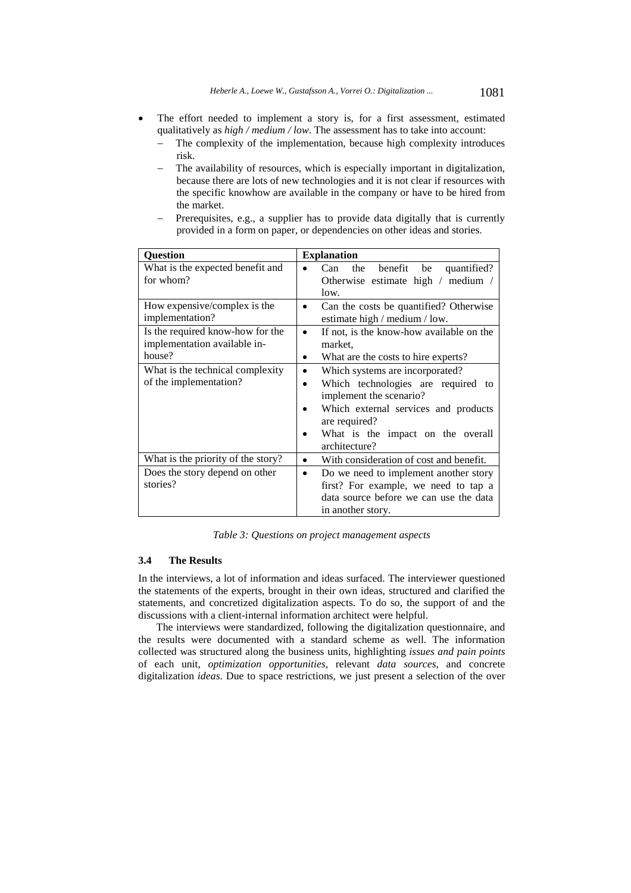- The effort needed to implement a story is, for a first assessment, estimated qualitatively as *high / medium / low*. The assessment has to take into account:
	- The complexity of the implementation, because high complexity introduces risk.
	- The availability of resources, which is especially important in digitalization, because there are lots of new technologies and it is not clear if resources with the specific knowhow are available in the company or have to be hired from the market.
	- Prerequisites, e.g., a supplier has to provide data digitally that is currently provided in a form on paper, or dependencies on other ideas and stories.

| <b>Question</b>                                 | <b>Explanation</b>                                                                |
|-------------------------------------------------|-----------------------------------------------------------------------------------|
| What is the expected benefit and<br>for whom?   | the<br>benefit<br>Can-<br>quantified?<br>be<br>Otherwise estimate high / medium / |
|                                                 | low.                                                                              |
| How expensive/complex is the<br>implementation? | Can the costs be quantified? Otherwise<br>٠<br>estimate high / medium / low.      |
| Is the required know-how for the                | If not, is the know-how available on the<br>$\bullet$                             |
| implementation available in-                    | market.                                                                           |
| house?                                          | What are the costs to hire experts?<br>٠                                          |
| What is the technical complexity                | Which systems are incorporated?<br>$\bullet$                                      |
| of the implementation?                          | Which technologies are required to<br>$\bullet$                                   |
|                                                 | implement the scenario?                                                           |
|                                                 | Which external services and products<br>are required?                             |
|                                                 | What is the impact on the overall                                                 |
|                                                 | architecture?                                                                     |
| What is the priority of the story?              | With consideration of cost and benefit.<br>$\bullet$                              |
| Does the story depend on other                  | Do we need to implement another story<br>$\bullet$                                |
| stories?                                        | first? For example, we need to tap a                                              |
|                                                 | data source before we can use the data                                            |
|                                                 | in another story.                                                                 |

*Table 3: Questions on project management aspects* 

## **3.4 The Results**

In the interviews, a lot of information and ideas surfaced. The interviewer questioned the statements of the experts, brought in their own ideas, structured and clarified the statements, and concretized digitalization aspects. To do so, the support of and the discussions with a client-internal information architect were helpful.

The interviews were standardized, following the digitalization questionnaire, and the results were documented with a standard scheme as well. The information collected was structured along the business units, highlighting *issues and pain points* of each unit, *optimization opportunities*, relevant *data sources*, and concrete digitalization *ideas*. Due to space restrictions, we just present a selection of the over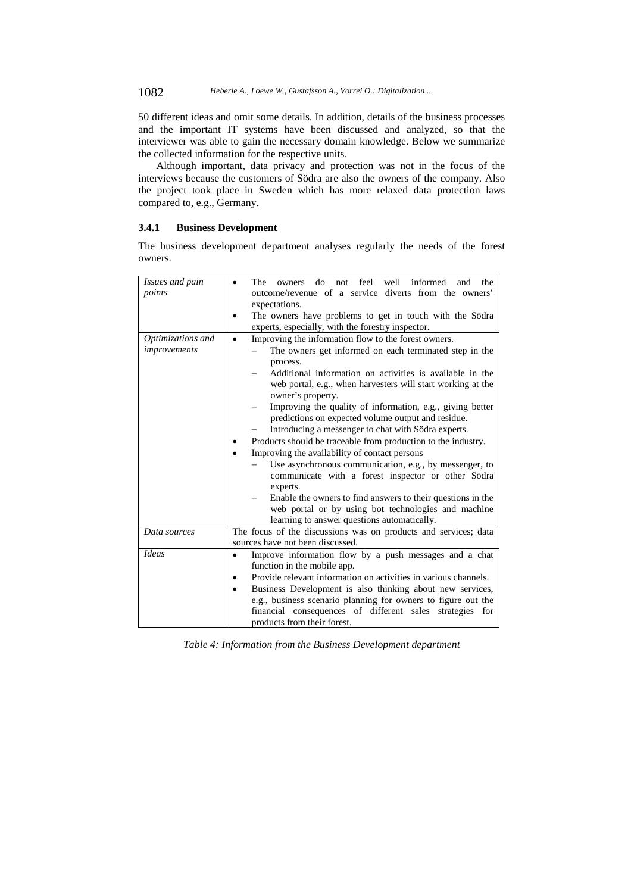1082 *Heberle A., Loewe W., Gustafsson A., Vorrei O.: Digitalization ...*

50 different ideas and omit some details. In addition, details of the business processes and the important IT systems have been discussed and analyzed, so that the interviewer was able to gain the necessary domain knowledge. Below we summarize the collected information for the respective units.

Although important, data privacy and protection was not in the focus of the interviews because the customers of Södra are also the owners of the company. Also the project took place in Sweden which has more relaxed data protection laws compared to, e.g., Germany.

#### **3.4.1 Business Development**

The business development department analyses regularly the needs of the forest owners.

| Issues and pain<br>points         | feel<br>well<br>informed<br>The<br>do<br>the<br>not<br>and<br>owners<br>outcome/revenue of a service diverts from the owners'<br>expectations.                                                                                                                                                                                                                                                                                                                                                                                                                                                                                                                                                                                                                                                                                                                                       |
|-----------------------------------|--------------------------------------------------------------------------------------------------------------------------------------------------------------------------------------------------------------------------------------------------------------------------------------------------------------------------------------------------------------------------------------------------------------------------------------------------------------------------------------------------------------------------------------------------------------------------------------------------------------------------------------------------------------------------------------------------------------------------------------------------------------------------------------------------------------------------------------------------------------------------------------|
|                                   | The owners have problems to get in touch with the Södra<br>experts, especially, with the forestry inspector.                                                                                                                                                                                                                                                                                                                                                                                                                                                                                                                                                                                                                                                                                                                                                                         |
| Optimizations and<br>improvements | Improving the information flow to the forest owners.<br>$\bullet$<br>The owners get informed on each terminated step in the<br>process.<br>Additional information on activities is available in the<br>web portal, e.g., when harvesters will start working at the<br>owner's property.<br>Improving the quality of information, e.g., giving better<br>predictions on expected volume output and residue.<br>Introducing a messenger to chat with Södra experts.<br>Products should be traceable from production to the industry.<br>Improving the availability of contact persons<br>Use asynchronous communication, e.g., by messenger, to<br>communicate with a forest inspector or other Södra<br>experts.<br>Enable the owners to find answers to their questions in the<br>web portal or by using bot technologies and machine<br>learning to answer questions automatically. |
| Data sources                      | The focus of the discussions was on products and services; data<br>sources have not been discussed.                                                                                                                                                                                                                                                                                                                                                                                                                                                                                                                                                                                                                                                                                                                                                                                  |
| <b>Ideas</b>                      | Improve information flow by a push messages and a chat<br>٠<br>function in the mobile app.<br>Provide relevant information on activities in various channels.<br>٠<br>Business Development is also thinking about new services,<br>$\bullet$<br>e.g., business scenario planning for owners to figure out the<br>financial consequences of different sales strategies for<br>products from their forest.                                                                                                                                                                                                                                                                                                                                                                                                                                                                             |

*Table 4: Information from the Business Development department*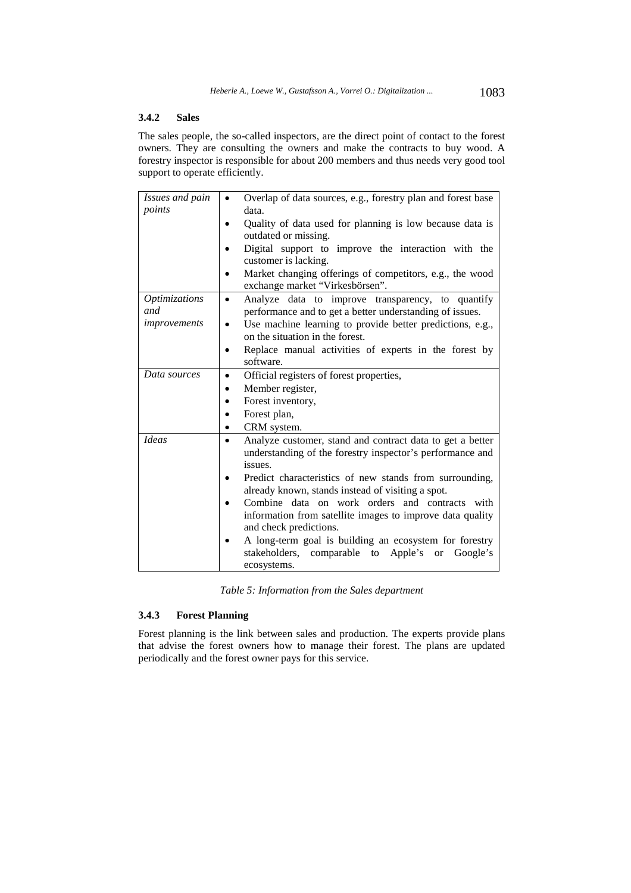## **3.4.2 Sales**

The sales people, the so-called inspectors, are the direct point of contact to the forest owners. They are consulting the owners and make the contracts to buy wood. A forestry inspector is responsible for about 200 members and thus needs very good tool support to operate efficiently.

| Issues and pain | Overlap of data sources, e.g., forestry plan and forest base   |
|-----------------|----------------------------------------------------------------|
| points          | data.                                                          |
|                 | Quality of data used for planning is low because data is       |
|                 | outdated or missing.                                           |
|                 | Digital support to improve the interaction with the            |
|                 | customer is lacking.                                           |
|                 | Market changing offerings of competitors, e.g., the wood       |
|                 | exchange market "Virkesbörsen".                                |
| Optimizations   | Analyze data to improve transparency, to quantify<br>$\bullet$ |
| and             | performance and to get a better understanding of issues.       |
| improvements    | Use machine learning to provide better predictions, e.g.,      |
|                 | on the situation in the forest.                                |
|                 | Replace manual activities of experts in the forest by          |
|                 | software.                                                      |
| Data sources    | Official registers of forest properties,                       |
|                 | Member register,                                               |
|                 | Forest inventory,                                              |
|                 | Forest plan,                                                   |
|                 | CRM system.                                                    |
| <b>Ideas</b>    | Analyze customer, stand and contract data to get a better      |
|                 | understanding of the forestry inspector's performance and      |
|                 | issues.                                                        |
|                 | Predict characteristics of new stands from surrounding,        |
|                 | already known, stands instead of visiting a spot.              |
|                 | Combine data on work orders and contracts with                 |
|                 | information from satellite images to improve data quality      |
|                 | and check predictions.                                         |
|                 | A long-term goal is building an ecosystem for forestry         |
|                 | stakeholders, comparable<br>Apple's or<br>to<br>Google's       |
|                 | ecosystems.                                                    |

*Table 5: Information from the Sales department* 

## **3.4.3 Forest Planning**

Forest planning is the link between sales and production. The experts provide plans that advise the forest owners how to manage their forest. The plans are updated periodically and the forest owner pays for this service.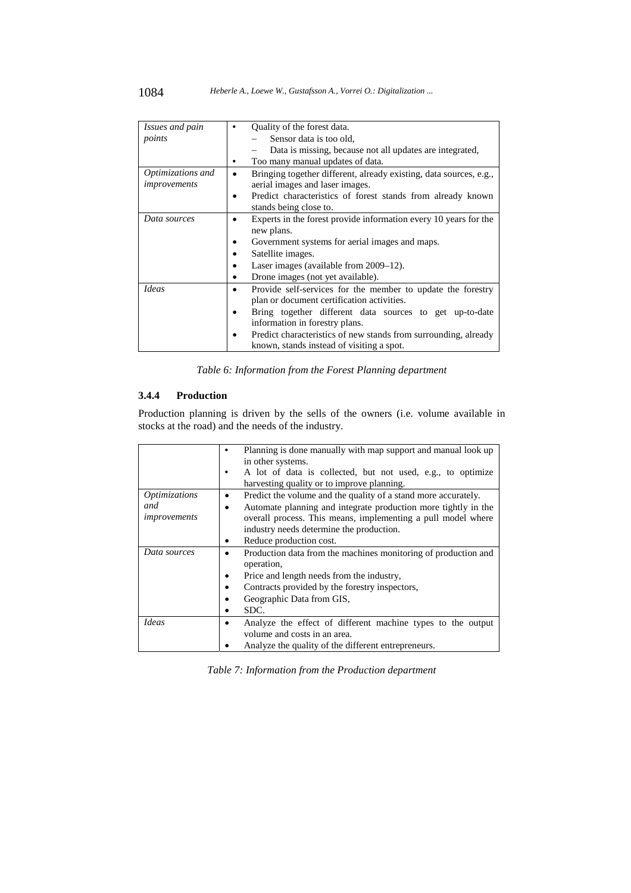| Issues and pain   | Quality of the forest data.                                                           |
|-------------------|---------------------------------------------------------------------------------------|
| points            | Sensor data is too old,                                                               |
|                   | Data is missing, because not all updates are integrated,                              |
|                   | Too many manual updates of data.                                                      |
| Optimizations and | Bringing together different, already existing, data sources, e.g.,<br>٠               |
| improvements      | aerial images and laser images.                                                       |
|                   | Predict characteristics of forest stands from already known<br>stands being close to. |
| Data sources      | Experts in the forest provide information every 10 years for the                      |
|                   | new plans.                                                                            |
|                   | Government systems for aerial images and maps.                                        |
|                   | Satellite images.                                                                     |
|                   | Laser images (available from 2009–12).                                                |
|                   | Drone images (not yet available).<br>٠                                                |
| <b>Ideas</b>      | Provide self-services for the member to update the forestry                           |
|                   | plan or document certification activities.                                            |
|                   | Bring together different data sources to get up-to-date                               |
|                   | information in forestry plans.                                                        |
|                   | Predict characteristics of new stands from surrounding, already                       |
|                   | known, stands instead of visiting a spot.                                             |

*Table 6: Information from the Forest Planning department* 

### **3.4.4 Production**

Production planning is driven by the sells of the owners (i.e. volume available in stocks at the road) and the needs of the industry.

|                      | Planning is done manually with map support and manual look up  |
|----------------------|----------------------------------------------------------------|
|                      | in other systems.                                              |
|                      | A lot of data is collected, but not used, e.g., to optimize    |
|                      | harvesting quality or to improve planning.                     |
| <i>Optimizations</i> | Predict the volume and the quality of a stand more accurately. |
| and                  | Automate planning and integrate production more tightly in the |
| improvements         | overall process. This means, implementing a pull model where   |
|                      | industry needs determine the production.                       |
|                      | Reduce production cost.                                        |
| Data sources         | Production data from the machines monitoring of production and |
|                      | operation,                                                     |
|                      | Price and length needs from the industry,                      |
|                      | Contracts provided by the forestry inspectors,                 |
|                      | Geographic Data from GIS,                                      |
|                      | SDC.                                                           |
| <b>Ideas</b>         | Analyze the effect of different machine types to the output    |
|                      | volume and costs in an area.                                   |
|                      | Analyze the quality of the different entrepreneurs.            |

*Table 7: Information from the Production department*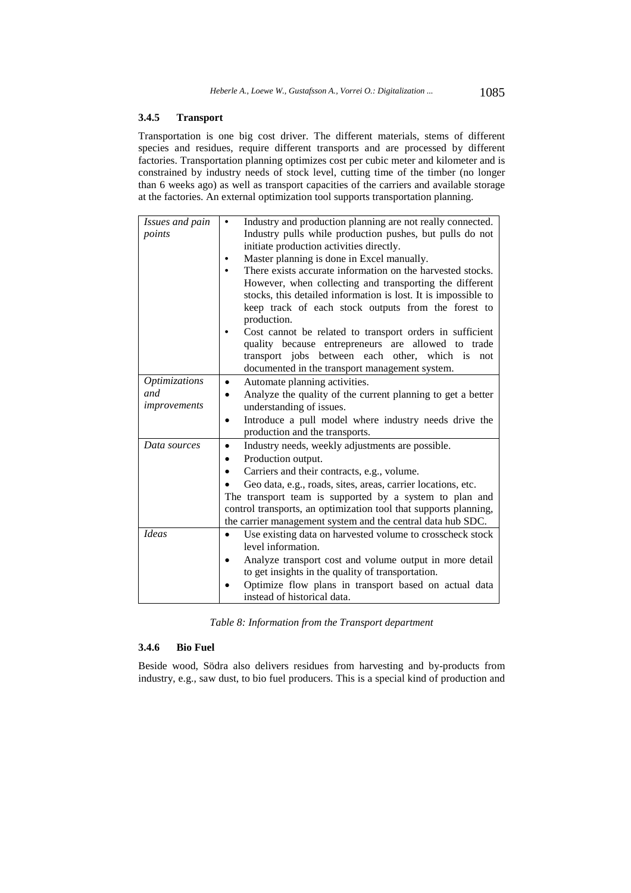### **3.4.5 Transport**

Transportation is one big cost driver. The different materials, stems of different species and residues, require different transports and are processed by different factories. Transportation planning optimizes cost per cubic meter and kilometer and is constrained by industry needs of stock level, cutting time of the timber (no longer than 6 weeks ago) as well as transport capacities of the carriers and available storage at the factories. An external optimization tool supports transportation planning.

| Issues and pain      | Industry and production planning are not really connected.<br>٠          |
|----------------------|--------------------------------------------------------------------------|
| points               | Industry pulls while production pushes, but pulls do not                 |
|                      | initiate production activities directly.                                 |
|                      | Master planning is done in Excel manually.                               |
|                      | There exists accurate information on the harvested stocks.               |
|                      | However, when collecting and transporting the different                  |
|                      | stocks, this detailed information is lost. It is impossible to           |
|                      | keep track of each stock outputs from the forest to                      |
|                      | production.                                                              |
|                      | Cost cannot be related to transport orders in sufficient                 |
|                      | quality because entrepreneurs are allowed to trade                       |
|                      | transport jobs between each other, which is<br>not                       |
|                      | documented in the transport management system.                           |
| <b>Optimizations</b> | Automate planning activities.<br>$\bullet$                               |
| and                  | Analyze the quality of the current planning to get a better<br>$\bullet$ |
| improvements         | understanding of issues.                                                 |
|                      | Introduce a pull model where industry needs drive the<br>$\bullet$       |
|                      | production and the transports.                                           |
| Data sources         | Industry needs, weekly adjustments are possible.<br>$\bullet$            |
|                      | Production output.                                                       |
|                      | Carriers and their contracts, e.g., volume.                              |
|                      | Geo data, e.g., roads, sites, areas, carrier locations, etc.             |
|                      | The transport team is supported by a system to plan and                  |
|                      | control transports, an optimization tool that supports planning,         |
|                      | the carrier management system and the central data hub SDC.              |
| <b>Ideas</b>         | Use existing data on harvested volume to crosscheck stock<br>$\bullet$   |
|                      | level information.                                                       |
|                      | Analyze transport cost and volume output in more detail                  |
|                      | to get insights in the quality of transportation.                        |
|                      | Optimize flow plans in transport based on actual data                    |
|                      | instead of historical data.                                              |

*Table 8: Information from the Transport department* 

## **3.4.6 Bio Fuel**

Beside wood, Södra also delivers residues from harvesting and by-products from industry, e.g., saw dust, to bio fuel producers. This is a special kind of production and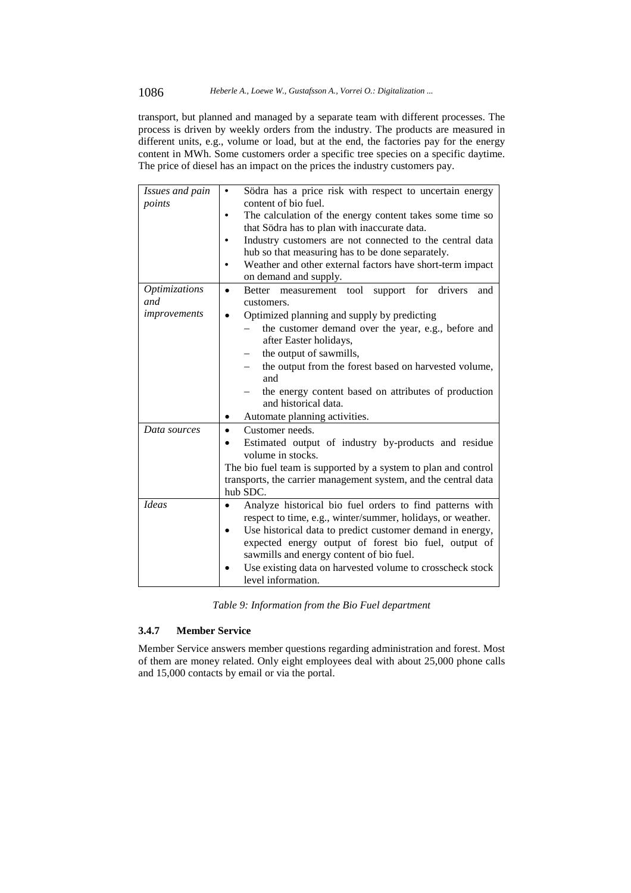transport, but planned and managed by a separate team with different processes. The process is driven by weekly orders from the industry. The products are measured in different units, e.g., volume or load, but at the end, the factories pay for the energy content in MWh. Some customers order a specific tree species on a specific daytime. The price of diesel has an impact on the prices the industry customers pay.

| Issues and pain<br>points          | Södra has a price risk with respect to uncertain energy<br>٠<br>content of bio fuel.                                         |
|------------------------------------|------------------------------------------------------------------------------------------------------------------------------|
|                                    | The calculation of the energy content takes some time so<br>that Södra has to plan with inaccurate data.                     |
|                                    | Industry customers are not connected to the central data<br>hub so that measuring has to be done separately.                 |
|                                    | Weather and other external factors have short-term impact<br>on demand and supply.                                           |
| <i><b>Optimizations</b></i><br>and | for drivers<br>support<br>Better measurement tool<br>and<br>customers.                                                       |
| improvements                       | Optimized planning and supply by predicting<br>the customer demand over the year, e.g., before and<br>after Easter holidays, |
|                                    | the output of sawmills,<br>the output from the forest based on harvested volume,<br>and                                      |
|                                    | the energy content based on attributes of production<br>and historical data.                                                 |
|                                    | Automate planning activities.                                                                                                |
| Data sources                       | Customer needs.                                                                                                              |
|                                    | Estimated output of industry by-products and residue<br>volume in stocks.                                                    |
|                                    | The bio fuel team is supported by a system to plan and control                                                               |
|                                    | transports, the carrier management system, and the central data                                                              |
|                                    | hub SDC.                                                                                                                     |
| <b>Ideas</b>                       | Analyze historical bio fuel orders to find patterns with                                                                     |
|                                    | respect to time, e.g., winter/summer, holidays, or weather.                                                                  |
|                                    | Use historical data to predict customer demand in energy,                                                                    |
|                                    | expected energy output of forest bio fuel, output of<br>sawmills and energy content of bio fuel.                             |
|                                    | Use existing data on harvested volume to crosscheck stock                                                                    |
|                                    | level information.                                                                                                           |

*Table 9: Information from the Bio Fuel department* 

#### **3.4.7 Member Service**

Member Service answers member questions regarding administration and forest. Most of them are money related. Only eight employees deal with about 25,000 phone calls and 15,000 contacts by email or via the portal.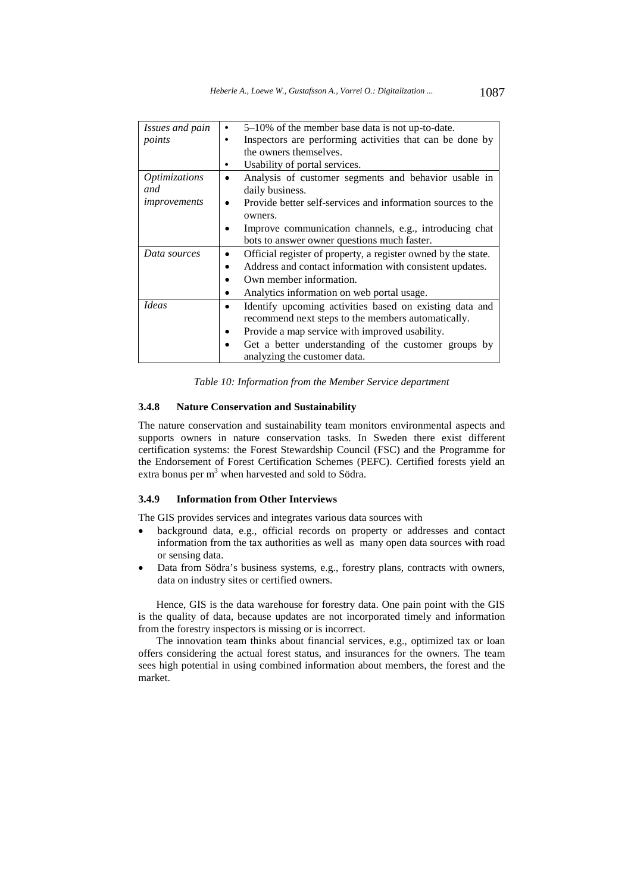| Issues and pain      | $5-10\%$ of the member base data is not up-to-date.                      |
|----------------------|--------------------------------------------------------------------------|
| points               | Inspectors are performing activities that can be done by<br>$\bullet$    |
|                      | the owners themselves.                                                   |
|                      | Usability of portal services.                                            |
| <i>Optimizations</i> | Analysis of customer segments and behavior usable in                     |
| and                  | daily business.                                                          |
| improvements         | Provide better self-services and information sources to the<br>$\bullet$ |
|                      | owners.                                                                  |
|                      | Improve communication channels, e.g., introducing chat                   |
|                      | bots to answer owner questions much faster.                              |
| Data sources         | Official register of property, a register owned by the state.            |
|                      | Address and contact information with consistent updates.                 |
|                      | Own member information.                                                  |
|                      | Analytics information on web portal usage.                               |
| <i>Ideas</i>         | Identify upcoming activities based on existing data and<br>$\bullet$     |
|                      | recommend next steps to the members automatically.                       |
|                      | Provide a map service with improved usability.                           |
|                      | Get a better understanding of the customer groups by                     |
|                      | analyzing the customer data.                                             |

*Table 10: Information from the Member Service department* 

#### **3.4.8 Nature Conservation and Sustainability**

The nature conservation and sustainability team monitors environmental aspects and supports owners in nature conservation tasks. In Sweden there exist different certification systems: the Forest Stewardship Council (FSC) and the Programme for the Endorsement of Forest Certification Schemes (PEFC). Certified forests yield an extra bonus per  $m<sup>3</sup>$  when harvested and sold to Södra.

### **3.4.9 Information from Other Interviews**

The GIS provides services and integrates various data sources with

- background data, e.g., official records on property or addresses and contact information from the tax authorities as well as many open data sources with road or sensing data.
- Data from Södra's business systems, e.g., forestry plans, contracts with owners, data on industry sites or certified owners.

Hence, GIS is the data warehouse for forestry data. One pain point with the GIS is the quality of data, because updates are not incorporated timely and information from the forestry inspectors is missing or is incorrect.

The innovation team thinks about financial services, e.g., optimized tax or loan offers considering the actual forest status, and insurances for the owners. The team sees high potential in using combined information about members, the forest and the market.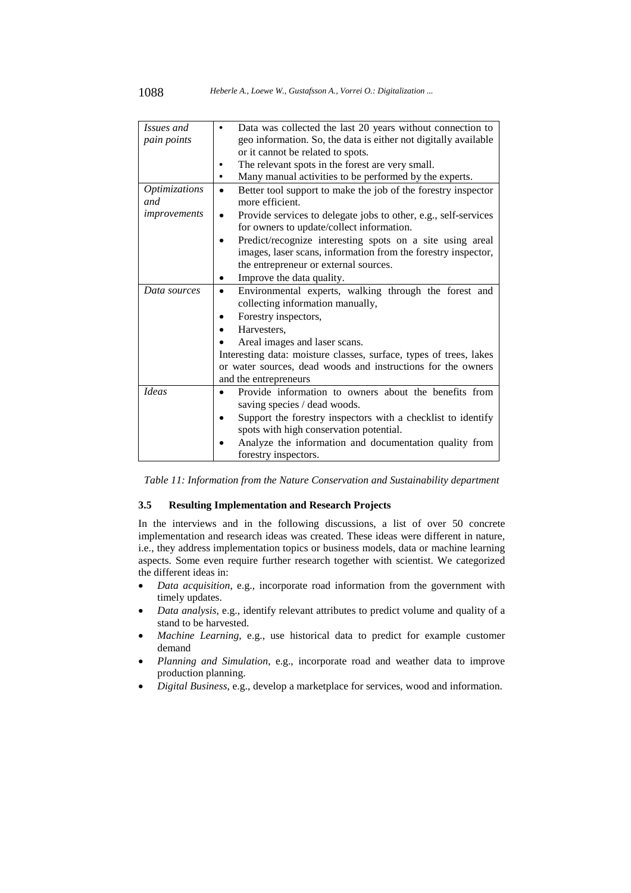| Issues and           | Data was collected the last 20 years without connection to                 |
|----------------------|----------------------------------------------------------------------------|
| pain points          | geo information. So, the data is either not digitally available            |
|                      | or it cannot be related to spots.                                          |
|                      | The relevant spots in the forest are very small.                           |
|                      | Many manual activities to be performed by the experts.                     |
| <b>Optimizations</b> | Better tool support to make the job of the forestry inspector<br>$\bullet$ |
| and                  | more efficient.                                                            |
| improvements         | Provide services to delegate jobs to other, e.g., self-services            |
|                      | for owners to update/collect information.                                  |
|                      | Predict/recognize interesting spots on a site using areal                  |
|                      | images, laser scans, information from the forestry inspector,              |
|                      | the entrepreneur or external sources.                                      |
|                      | Improve the data quality.                                                  |
| Data sources         | Environmental experts, walking through the forest and                      |
|                      | collecting information manually,                                           |
|                      | Forestry inspectors,                                                       |
|                      | Harvesters,                                                                |
|                      | Areal images and laser scans.                                              |
|                      | Interesting data: moisture classes, surface, types of trees, lakes         |
|                      | or water sources, dead woods and instructions for the owners               |
|                      | and the entrepreneurs                                                      |
| <b>Ideas</b>         | Provide information to owners about the benefits from                      |
|                      | saving species / dead woods.                                               |
|                      | Support the forestry inspectors with a checklist to identify               |
|                      | spots with high conservation potential.                                    |
|                      | Analyze the information and documentation quality from                     |
|                      | forestry inspectors.                                                       |

*Table 11: Information from the Nature Conservation and Sustainability department* 

#### **3.5 Resulting Implementation and Research Projects**

In the interviews and in the following discussions, a list of over 50 concrete implementation and research ideas was created. These ideas were different in nature, i.e., they address implementation topics or business models, data or machine learning aspects. Some even require further research together with scientist. We categorized the different ideas in:

- *Data acquisition*, e.g., incorporate road information from the government with timely updates.
- *Data analysis*, e.g., identify relevant attributes to predict volume and quality of a stand to be harvested.
- *Machine Learning*, e.g., use historical data to predict for example customer demand
- *Planning and Simulation*, e.g., incorporate road and weather data to improve production planning.
- *Digital Business*, e.g., develop a marketplace for services, wood and information.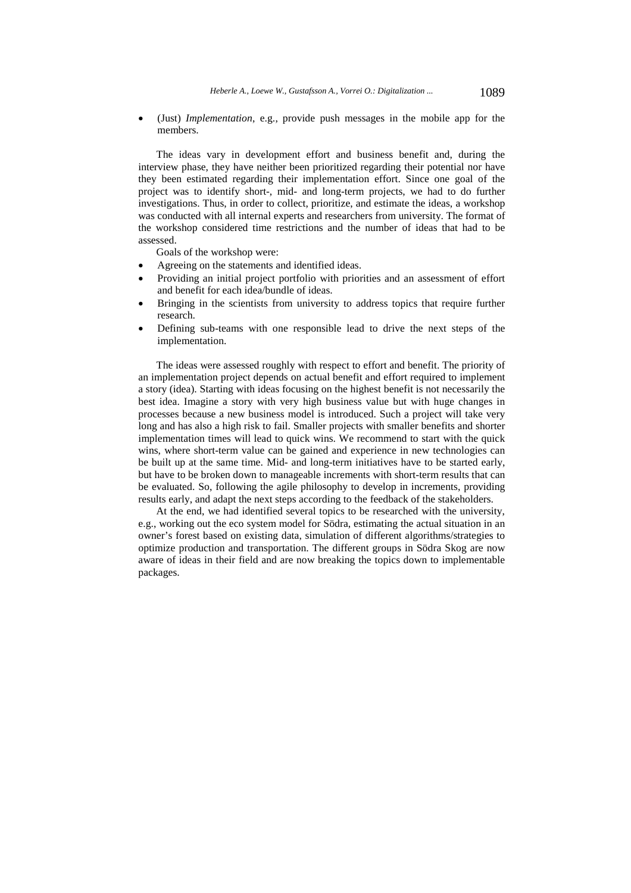(Just) *Implementation*, e.g., provide push messages in the mobile app for the members.

The ideas vary in development effort and business benefit and, during the interview phase, they have neither been prioritized regarding their potential nor have they been estimated regarding their implementation effort. Since one goal of the project was to identify short-, mid- and long-term projects, we had to do further investigations. Thus, in order to collect, prioritize, and estimate the ideas, a workshop was conducted with all internal experts and researchers from university. The format of the workshop considered time restrictions and the number of ideas that had to be assessed.

Goals of the workshop were:

- Agreeing on the statements and identified ideas.
- Providing an initial project portfolio with priorities and an assessment of effort and benefit for each idea/bundle of ideas.
- Bringing in the scientists from university to address topics that require further research.
- Defining sub-teams with one responsible lead to drive the next steps of the implementation.

The ideas were assessed roughly with respect to effort and benefit. The priority of an implementation project depends on actual benefit and effort required to implement a story (idea). Starting with ideas focusing on the highest benefit is not necessarily the best idea. Imagine a story with very high business value but with huge changes in processes because a new business model is introduced. Such a project will take very long and has also a high risk to fail. Smaller projects with smaller benefits and shorter implementation times will lead to quick wins. We recommend to start with the quick wins, where short-term value can be gained and experience in new technologies can be built up at the same time. Mid- and long-term initiatives have to be started early, but have to be broken down to manageable increments with short-term results that can be evaluated. So, following the agile philosophy to develop in increments, providing results early, and adapt the next steps according to the feedback of the stakeholders.

At the end, we had identified several topics to be researched with the university, e.g., working out the eco system model for Södra, estimating the actual situation in an owner's forest based on existing data, simulation of different algorithms/strategies to optimize production and transportation. The different groups in Södra Skog are now aware of ideas in their field and are now breaking the topics down to implementable packages.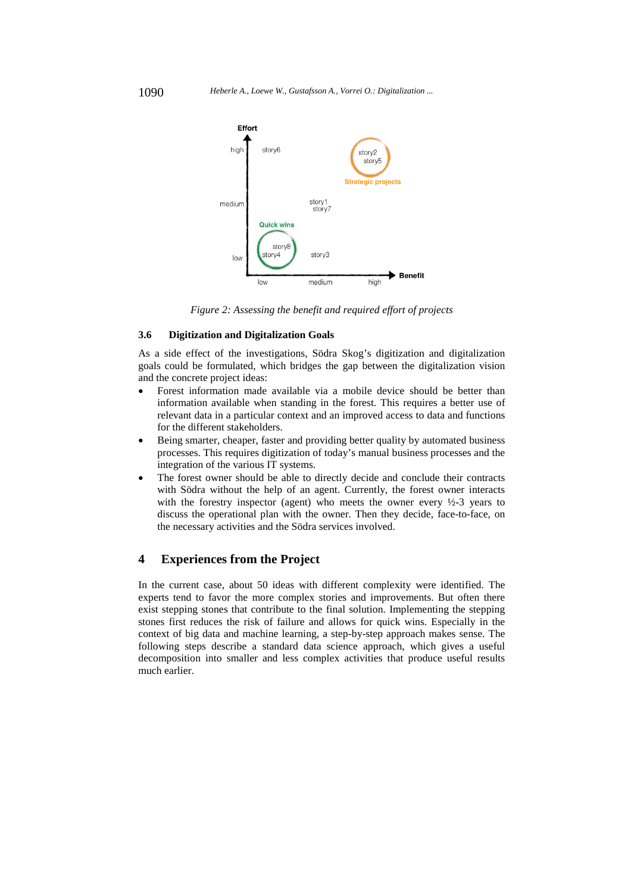

*Figure 2: Assessing the benefit and required effort of projects* 

#### **3.6 Digitization and Digitalization Goals**

As a side effect of the investigations, Södra Skog's digitization and digitalization goals could be formulated, which bridges the gap between the digitalization vision and the concrete project ideas:

- Forest information made available via a mobile device should be better than information available when standing in the forest. This requires a better use of relevant data in a particular context and an improved access to data and functions for the different stakeholders.
- Being smarter, cheaper, faster and providing better quality by automated business processes. This requires digitization of today's manual business processes and the integration of the various IT systems.
- The forest owner should be able to directly decide and conclude their contracts with Södra without the help of an agent. Currently, the forest owner interacts with the forestry inspector (agent) who meets the owner every  $\frac{1}{2}$  years to discuss the operational plan with the owner. Then they decide, face-to-face, on the necessary activities and the Södra services involved.

#### **4 Experiences from the Project**

In the current case, about 50 ideas with different complexity were identified. The experts tend to favor the more complex stories and improvements. But often there exist stepping stones that contribute to the final solution. Implementing the stepping stones first reduces the risk of failure and allows for quick wins. Especially in the context of big data and machine learning, a step-by-step approach makes sense. The following steps describe a standard data science approach, which gives a useful decomposition into smaller and less complex activities that produce useful results much earlier.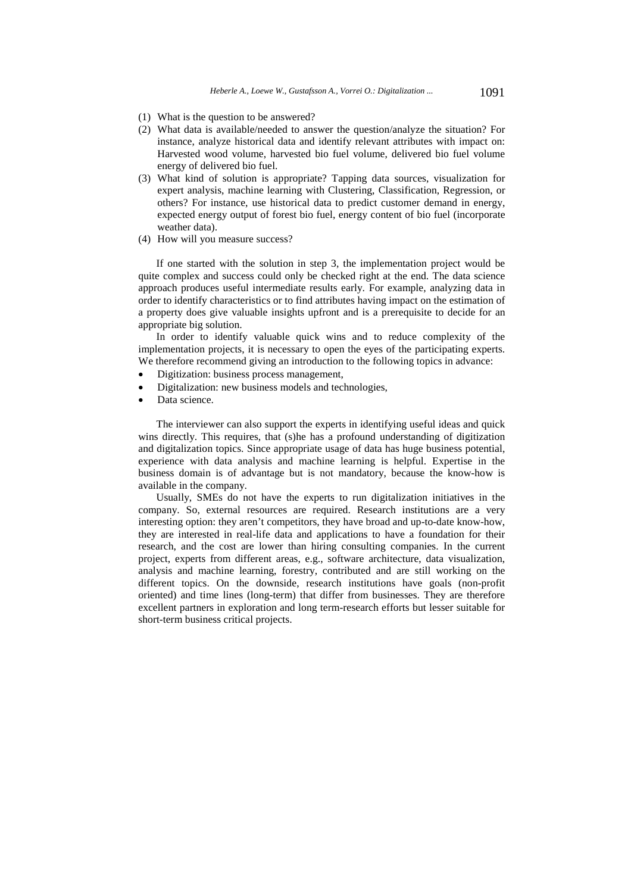- (1) What is the question to be answered?
- (2) What data is available/needed to answer the question/analyze the situation? For instance, analyze historical data and identify relevant attributes with impact on: Harvested wood volume, harvested bio fuel volume, delivered bio fuel volume energy of delivered bio fuel.
- (3) What kind of solution is appropriate? Tapping data sources, visualization for expert analysis, machine learning with Clustering, Classification, Regression, or others? For instance, use historical data to predict customer demand in energy, expected energy output of forest bio fuel, energy content of bio fuel (incorporate weather data).
- (4) How will you measure success?

If one started with the solution in step 3, the implementation project would be quite complex and success could only be checked right at the end. The data science approach produces useful intermediate results early. For example, analyzing data in order to identify characteristics or to find attributes having impact on the estimation of a property does give valuable insights upfront and is a prerequisite to decide for an appropriate big solution.

In order to identify valuable quick wins and to reduce complexity of the implementation projects, it is necessary to open the eyes of the participating experts. We therefore recommend giving an introduction to the following topics in advance:

- Digitization: business process management,
- Digitalization: new business models and technologies,
- Data science.

The interviewer can also support the experts in identifying useful ideas and quick wins directly. This requires, that (s)he has a profound understanding of digitization and digitalization topics. Since appropriate usage of data has huge business potential, experience with data analysis and machine learning is helpful. Expertise in the business domain is of advantage but is not mandatory, because the know-how is available in the company.

Usually, SMEs do not have the experts to run digitalization initiatives in the company. So, external resources are required. Research institutions are a very interesting option: they aren't competitors, they have broad and up-to-date know-how, they are interested in real-life data and applications to have a foundation for their research, and the cost are lower than hiring consulting companies. In the current project, experts from different areas, e.g., software architecture, data visualization, analysis and machine learning, forestry, contributed and are still working on the different topics. On the downside, research institutions have goals (non-profit oriented) and time lines (long-term) that differ from businesses. They are therefore excellent partners in exploration and long term-research efforts but lesser suitable for short-term business critical projects.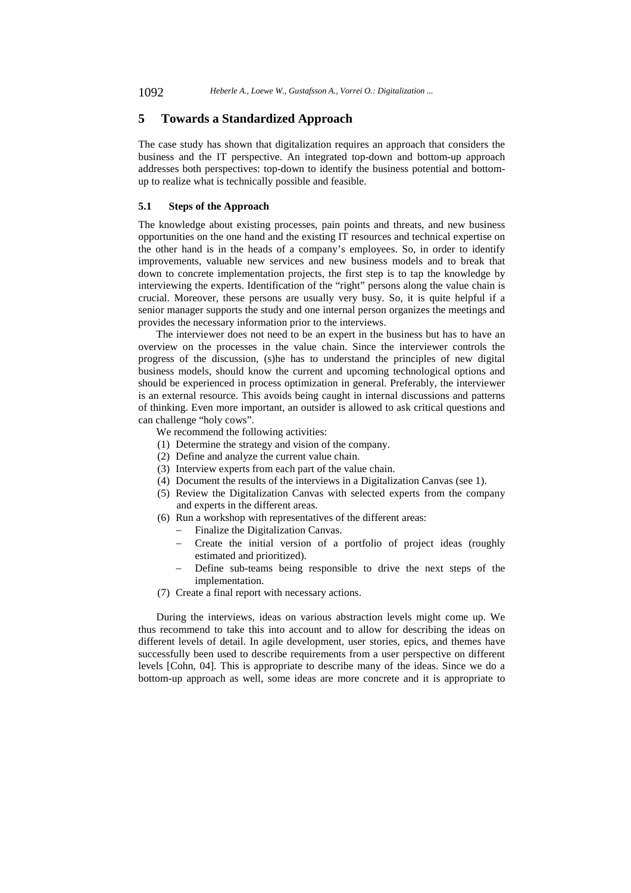## **5 Towards a Standardized Approach**

The case study has shown that digitalization requires an approach that considers the business and the IT perspective. An integrated top-down and bottom-up approach addresses both perspectives: top-down to identify the business potential and bottomup to realize what is technically possible and feasible.

#### **5.1 Steps of the Approach**

The knowledge about existing processes, pain points and threats, and new business opportunities on the one hand and the existing IT resources and technical expertise on the other hand is in the heads of a company's employees. So, in order to identify improvements, valuable new services and new business models and to break that down to concrete implementation projects, the first step is to tap the knowledge by interviewing the experts. Identification of the "right" persons along the value chain is crucial. Moreover, these persons are usually very busy. So, it is quite helpful if a senior manager supports the study and one internal person organizes the meetings and provides the necessary information prior to the interviews.

The interviewer does not need to be an expert in the business but has to have an overview on the processes in the value chain. Since the interviewer controls the progress of the discussion, (s)he has to understand the principles of new digital business models, should know the current and upcoming technological options and should be experienced in process optimization in general. Preferably, the interviewer is an external resource. This avoids being caught in internal discussions and patterns of thinking. Even more important, an outsider is allowed to ask critical questions and can challenge "holy cows".

We recommend the following activities:

- (1) Determine the strategy and vision of the company.
- (2) Define and analyze the current value chain.
- (3) Interview experts from each part of the value chain.
- (4) Document the results of the interviews in a Digitalization Canvas (see 1).
- (5) Review the Digitalization Canvas with selected experts from the company and experts in the different areas.
- (6) Run a workshop with representatives of the different areas:
	- Finalize the Digitalization Canvas.
		- Create the initial version of a portfolio of project ideas (roughly estimated and prioritized).
	- Define sub-teams being responsible to drive the next steps of the implementation.
- (7) Create a final report with necessary actions.

During the interviews, ideas on various abstraction levels might come up. We thus recommend to take this into account and to allow for describing the ideas on different levels of detail. In agile development, user stories, epics, and themes have successfully been used to describe requirements from a user perspective on different levels [Cohn, 04]. This is appropriate to describe many of the ideas. Since we do a bottom-up approach as well, some ideas are more concrete and it is appropriate to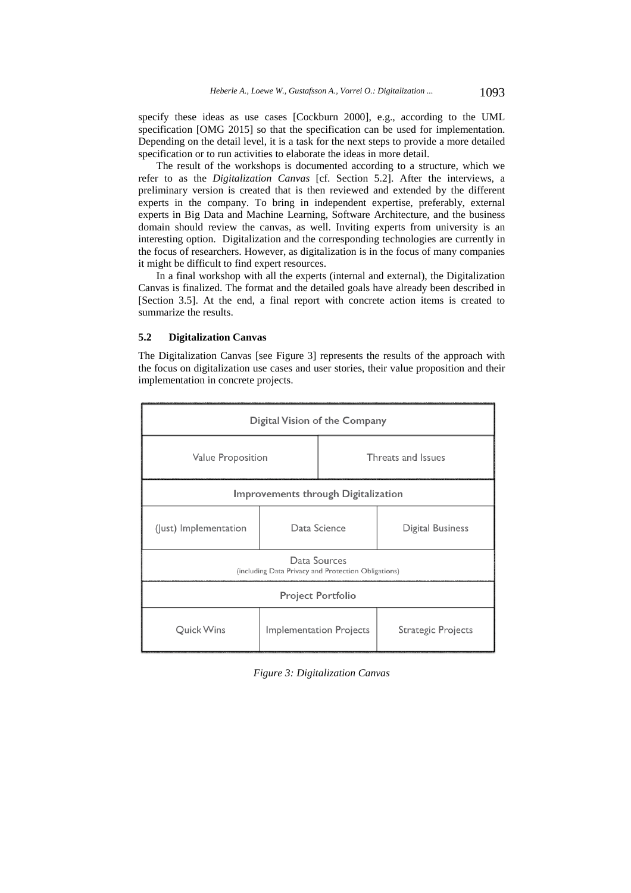specify these ideas as use cases [Cockburn 2000], e.g., according to the UML specification [OMG 2015] so that the specification can be used for implementation. Depending on the detail level, it is a task for the next steps to provide a more detailed specification or to run activities to elaborate the ideas in more detail.

The result of the workshops is documented according to a structure, which we refer to as the *Digitalization Canvas* [cf. Section 5.2]. After the interviews, a preliminary version is created that is then reviewed and extended by the different experts in the company. To bring in independent expertise, preferably, external experts in Big Data and Machine Learning, Software Architecture, and the business domain should review the canvas, as well. Inviting experts from university is an interesting option. Digitalization and the corresponding technologies are currently in the focus of researchers. However, as digitalization is in the focus of many companies it might be difficult to find expert resources.

In a final workshop with all the experts (internal and external), the Digitalization Canvas is finalized. The format and the detailed goals have already been described in [Section 3.5]. At the end, a final report with concrete action items is created to summarize the results.

#### **5.2 Digitalization Canvas**

The Digitalization Canvas [see Figure 3] represents the results of the approach with the focus on digitalization use cases and user stories, their value proposition and their implementation in concrete projects.



*Figure 3: Digitalization Canvas*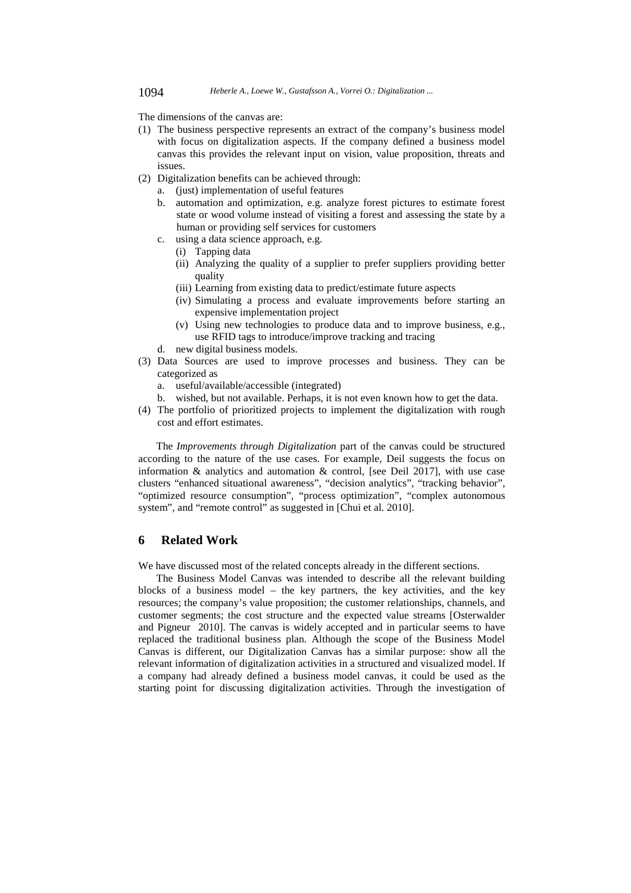The dimensions of the canvas are:

- (1) The business perspective represents an extract of the company's business model with focus on digitalization aspects. If the company defined a business model canvas this provides the relevant input on vision, value proposition, threats and issues.
- (2) Digitalization benefits can be achieved through:
	- a. (just) implementation of useful features
	- b. automation and optimization, e.g. analyze forest pictures to estimate forest state or wood volume instead of visiting a forest and assessing the state by a human or providing self services for customers
	- c. using a data science approach, e.g.
		- (i) Tapping data
		- (ii) Analyzing the quality of a supplier to prefer suppliers providing better quality
		- (iii) Learning from existing data to predict/estimate future aspects
		- (iv) Simulating a process and evaluate improvements before starting an expensive implementation project
		- (v) Using new technologies to produce data and to improve business, e.g., use RFID tags to introduce/improve tracking and tracing
	- d. new digital business models.
- (3) Data Sources are used to improve processes and business. They can be categorized as
	- a. useful/available/accessible (integrated)
	- b. wished, but not available. Perhaps, it is not even known how to get the data.
- (4) The portfolio of prioritized projects to implement the digitalization with rough cost and effort estimates.

The *Improvements through Digitalization* part of the canvas could be structured according to the nature of the use cases. For example, Deil suggests the focus on information & analytics and automation & control, [see Deil 2017], with use case clusters "enhanced situational awareness", "decision analytics", "tracking behavior", "optimized resource consumption", "process optimization", "complex autonomous system", and "remote control" as suggested in [Chui et al. 2010].

## **6 Related Work**

We have discussed most of the related concepts already in the different sections.

The Business Model Canvas was intended to describe all the relevant building blocks of a business model – the key partners, the key activities, and the key resources; the company's value proposition; the customer relationships, channels, and customer segments; the cost structure and the expected value streams [Osterwalder and Pigneur 2010]. The canvas is widely accepted and in particular seems to have replaced the traditional business plan. Although the scope of the Business Model Canvas is different, our Digitalization Canvas has a similar purpose: show all the relevant information of digitalization activities in a structured and visualized model. If a company had already defined a business model canvas, it could be used as the starting point for discussing digitalization activities. Through the investigation of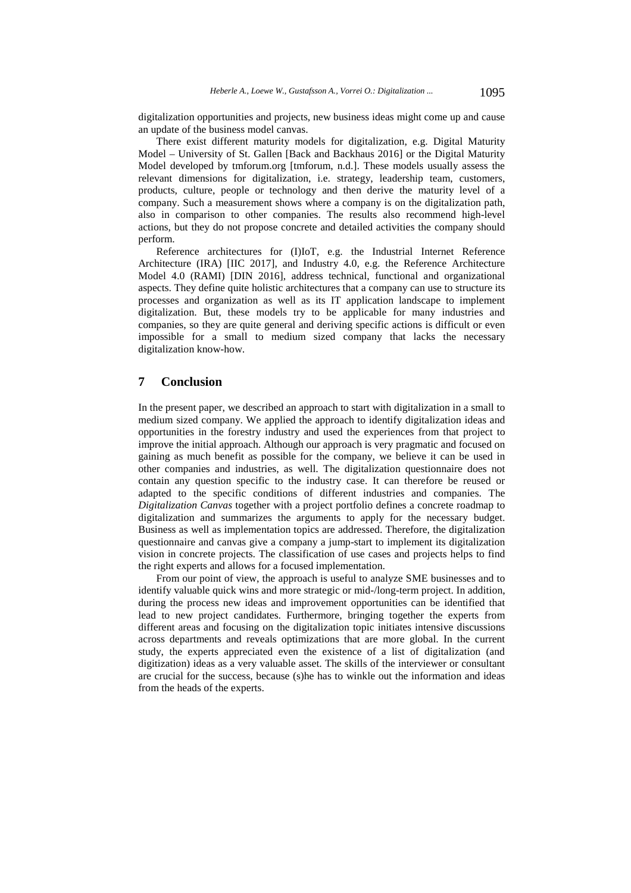digitalization opportunities and projects, new business ideas might come up and cause an update of the business model canvas.

There exist different maturity models for digitalization, e.g. Digital Maturity Model – University of St. Gallen [Back and Backhaus 2016] or the Digital Maturity Model developed by tmforum.org [tmforum, n.d.]. These models usually assess the relevant dimensions for digitalization, i.e. strategy, leadership team, customers, products, culture, people or technology and then derive the maturity level of a company. Such a measurement shows where a company is on the digitalization path, also in comparison to other companies. The results also recommend high-level actions, but they do not propose concrete and detailed activities the company should perform.

Reference architectures for (I)IoT, e.g. the Industrial Internet Reference Architecture (IRA) [IIC 2017], and Industry 4.0, e.g. the Reference Architecture Model 4.0 (RAMI) [DIN 2016], address technical, functional and organizational aspects. They define quite holistic architectures that a company can use to structure its processes and organization as well as its IT application landscape to implement digitalization. But, these models try to be applicable for many industries and companies, so they are quite general and deriving specific actions is difficult or even impossible for a small to medium sized company that lacks the necessary digitalization know-how.

## **7 Conclusion**

In the present paper, we described an approach to start with digitalization in a small to medium sized company. We applied the approach to identify digitalization ideas and opportunities in the forestry industry and used the experiences from that project to improve the initial approach. Although our approach is very pragmatic and focused on gaining as much benefit as possible for the company, we believe it can be used in other companies and industries, as well. The digitalization questionnaire does not contain any question specific to the industry case. It can therefore be reused or adapted to the specific conditions of different industries and companies. The *Digitalization Canvas* together with a project portfolio defines a concrete roadmap to digitalization and summarizes the arguments to apply for the necessary budget. Business as well as implementation topics are addressed. Therefore, the digitalization questionnaire and canvas give a company a jump-start to implement its digitalization vision in concrete projects. The classification of use cases and projects helps to find the right experts and allows for a focused implementation.

From our point of view, the approach is useful to analyze SME businesses and to identify valuable quick wins and more strategic or mid-/long-term project. In addition, during the process new ideas and improvement opportunities can be identified that lead to new project candidates. Furthermore, bringing together the experts from different areas and focusing on the digitalization topic initiates intensive discussions across departments and reveals optimizations that are more global. In the current study, the experts appreciated even the existence of a list of digitalization (and digitization) ideas as a very valuable asset. The skills of the interviewer or consultant are crucial for the success, because (s)he has to winkle out the information and ideas from the heads of the experts.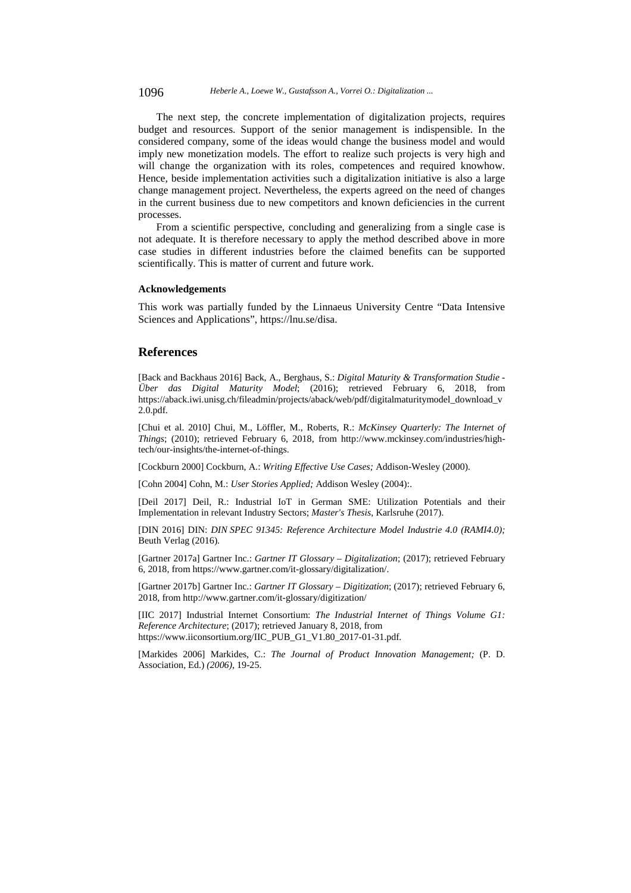1096 *Heberle A., Loewe W., Gustafsson A., Vorrei O.: Digitalization ...*

The next step, the concrete implementation of digitalization projects, requires budget and resources. Support of the senior management is indispensible. In the considered company, some of the ideas would change the business model and would imply new monetization models. The effort to realize such projects is very high and will change the organization with its roles, competences and required knowhow. Hence, beside implementation activities such a digitalization initiative is also a large change management project. Nevertheless, the experts agreed on the need of changes in the current business due to new competitors and known deficiencies in the current processes.

From a scientific perspective, concluding and generalizing from a single case is not adequate. It is therefore necessary to apply the method described above in more case studies in different industries before the claimed benefits can be supported scientifically. This is matter of current and future work.

#### **Acknowledgements**

This work was partially funded by the Linnaeus University Centre "Data Intensive Sciences and Applications", https://lnu.se/disa.

#### **References**

[Back and Backhaus 2016] Back, A., Berghaus, S.: *Digital Maturity & Transformation Studie - Über das Digital Maturity Model*; (2016); retrieved February 6, 2018, from https://aback.iwi.unisg.ch/fileadmin/projects/aback/web/pdf/digitalmaturitymodel\_download\_v 2.0.pdf.

[Chui et al. 2010] Chui, M., Löffler, M., Roberts, R.: *McKinsey Quarterly: The Internet of Things*; (2010); retrieved February 6, 2018, from http://www.mckinsey.com/industries/hightech/our-insights/the-internet-of-things.

[Cockburn 2000] Cockburn, A.: *Writing Effective Use Cases;* Addison-Wesley (2000).

[Cohn 2004] Cohn, M.: *User Stories Applied;* Addison Wesley (2004):.

[Deil 2017] Deil, R.: Industrial IoT in German SME: Utilization Potentials and their Implementation in relevant Industry Sectors; *Master's Thesis*, Karlsruhe (2017).

[DIN 2016] DIN: *DIN SPEC 91345: Reference Architecture Model Industrie 4.0 (RAMI4.0);* Beuth Verlag (2016).

[Gartner 2017a] Gartner Inc.: *Gartner IT Glossary – Digitalization*; (2017); retrieved February 6, 2018, from https://www.gartner.com/it-glossary/digitalization/.

[Gartner 2017b] Gartner Inc.: *Gartner IT Glossary – Digitization*; (2017); retrieved February 6, 2018, from http://www.gartner.com/it-glossary/digitization/

[IIC 2017] Industrial Internet Consortium: *The Industrial Internet of Things Volume G1: Reference Architecture*; (2017); retrieved January 8, 2018, from https://www.iiconsortium.org/IIC\_PUB\_G1\_V1.80\_2017-01-31.pdf.

[Markides 2006] Markides, C.: *The Journal of Product Innovation Management;* (P. D. Association, Ed.) *(2006)*, 19-25.